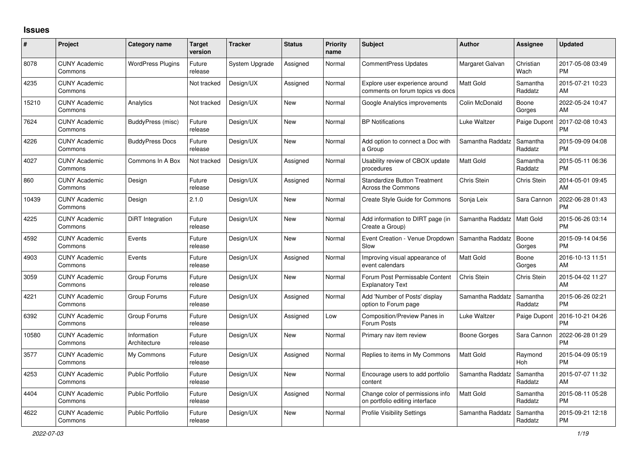## **Issues**

| #     | Project                         | <b>Category name</b>        | <b>Target</b><br>version | <b>Tracker</b> | <b>Status</b> | <b>Priority</b><br>name | <b>Subject</b>                                                     | <b>Author</b>    | <b>Assignee</b>     | <b>Updated</b>                |
|-------|---------------------------------|-----------------------------|--------------------------|----------------|---------------|-------------------------|--------------------------------------------------------------------|------------------|---------------------|-------------------------------|
| 8078  | <b>CUNY Academic</b><br>Commons | <b>WordPress Plugins</b>    | Future<br>release        | System Upgrade | Assigned      | Normal                  | <b>CommentPress Updates</b>                                        | Margaret Galvan  | Christian<br>Wach   | 2017-05-08 03:49<br><b>PM</b> |
| 4235  | <b>CUNY Academic</b><br>Commons |                             | Not tracked              | Design/UX      | Assigned      | Normal                  | Explore user experience around<br>comments on forum topics vs docs | <b>Matt Gold</b> | Samantha<br>Raddatz | 2015-07-21 10:23<br>AM        |
| 15210 | <b>CUNY Academic</b><br>Commons | Analytics                   | Not tracked              | Design/UX      | <b>New</b>    | Normal                  | Google Analytics improvements                                      | Colin McDonald   | Boone<br>Gorges     | 2022-05-24 10:47<br>AM        |
| 7624  | <b>CUNY Academic</b><br>Commons | BuddyPress (misc)           | Future<br>release        | Design/UX      | New           | Normal                  | <b>BP</b> Notifications                                            | Luke Waltzer     | Paige Dupont        | 2017-02-08 10:43<br><b>PM</b> |
| 4226  | <b>CUNY Academic</b><br>Commons | <b>BuddyPress Docs</b>      | Future<br>release        | Design/UX      | <b>New</b>    | Normal                  | Add option to connect a Doc with<br>a Group                        | Samantha Raddatz | Samantha<br>Raddatz | 2015-09-09 04:08<br><b>PM</b> |
| 4027  | <b>CUNY Academic</b><br>Commons | Commons In A Box            | Not tracked              | Design/UX      | Assigned      | Normal                  | Usability review of CBOX update<br>procedures                      | <b>Matt Gold</b> | Samantha<br>Raddatz | 2015-05-11 06:36<br><b>PM</b> |
| 860   | <b>CUNY Academic</b><br>Commons | Design                      | Future<br>release        | Design/UX      | Assigned      | Normal                  | <b>Standardize Button Treatment</b><br><b>Across the Commons</b>   | Chris Stein      | Chris Stein         | 2014-05-01 09:45<br>AM        |
| 10439 | <b>CUNY Academic</b><br>Commons | Design                      | 2.1.0                    | Design/UX      | New           | Normal                  | <b>Create Style Guide for Commons</b>                              | Sonja Leix       | Sara Cannon         | 2022-06-28 01:43<br><b>PM</b> |
| 4225  | <b>CUNY Academic</b><br>Commons | DiRT Integration            | Future<br>release        | Design/UX      | <b>New</b>    | Normal                  | Add information to DIRT page (in<br>Create a Group)                | Samantha Raddatz | <b>Matt Gold</b>    | 2015-06-26 03:14<br><b>PM</b> |
| 4592  | <b>CUNY Academic</b><br>Commons | Events                      | Future<br>release        | Design/UX      | <b>New</b>    | Normal                  | Event Creation - Venue Dropdown<br>Slow                            | Samantha Raddatz | Boone<br>Gorges     | 2015-09-14 04:56<br><b>PM</b> |
| 4903  | <b>CUNY Academic</b><br>Commons | Events                      | Future<br>release        | Design/UX      | Assigned      | Normal                  | Improving visual appearance of<br>event calendars                  | Matt Gold        | Boone<br>Gorges     | 2016-10-13 11:51<br>AM        |
| 3059  | <b>CUNY Academic</b><br>Commons | Group Forums                | Future<br>release        | Design/UX      | <b>New</b>    | Normal                  | Forum Post Permissable Content<br><b>Explanatory Text</b>          | Chris Stein      | <b>Chris Stein</b>  | 2015-04-02 11:27<br>AM        |
| 4221  | <b>CUNY Academic</b><br>Commons | Group Forums                | Future<br>release        | Design/UX      | Assigned      | Normal                  | Add 'Number of Posts' display<br>option to Forum page              | Samantha Raddatz | Samantha<br>Raddatz | 2015-06-26 02:21<br><b>PM</b> |
| 6392  | <b>CUNY Academic</b><br>Commons | Group Forums                | Future<br>release        | Design/UX      | Assigned      | Low                     | <b>Composition/Preview Panes in</b><br>Forum Posts                 | Luke Waltzer     | Paige Dupont        | 2016-10-21 04:26<br><b>PM</b> |
| 10580 | <b>CUNY Academic</b><br>Commons | Information<br>Architecture | Future<br>release        | Design/UX      | New           | Normal                  | Primary nav item review                                            | Boone Gorges     | Sara Cannon         | 2022-06-28 01:29<br><b>PM</b> |
| 3577  | <b>CUNY Academic</b><br>Commons | My Commons                  | Future<br>release        | Design/UX      | Assigned      | Normal                  | Replies to items in My Commons                                     | Matt Gold        | Raymond<br>Hoh      | 2015-04-09 05:19<br><b>PM</b> |
| 4253  | <b>CUNY Academic</b><br>Commons | <b>Public Portfolio</b>     | Future<br>release        | Design/UX      | <b>New</b>    | Normal                  | Encourage users to add portfolio<br>content                        | Samantha Raddatz | Samantha<br>Raddatz | 2015-07-07 11:32<br>AM        |
| 4404  | <b>CUNY Academic</b><br>Commons | <b>Public Portfolio</b>     | Future<br>release        | Design/UX      | Assigned      | Normal                  | Change color of permissions info<br>on portfolio editing interface | <b>Matt Gold</b> | Samantha<br>Raddatz | 2015-08-11 05:28<br><b>PM</b> |
| 4622  | <b>CUNY Academic</b><br>Commons | <b>Public Portfolio</b>     | Future<br>release        | Design/UX      | <b>New</b>    | Normal                  | <b>Profile Visibility Settings</b>                                 | Samantha Raddatz | Samantha<br>Raddatz | 2015-09-21 12:18<br><b>PM</b> |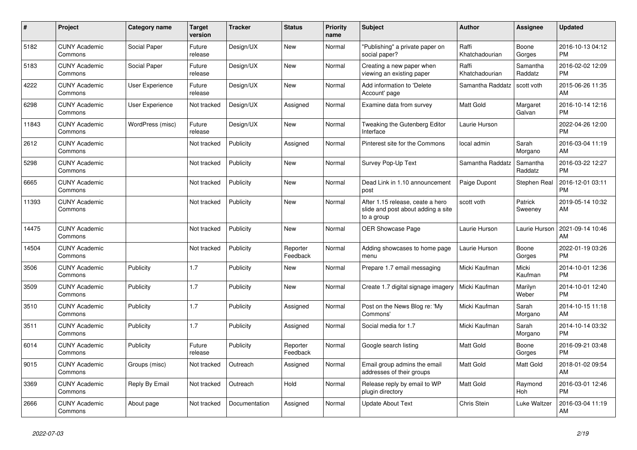| #     | <b>Project</b>                  | Category name    | <b>Target</b><br>version | <b>Tracker</b> | <b>Status</b>        | <b>Priority</b><br>name | <b>Subject</b>                                                                       | <b>Author</b>           | Assignee            | <b>Updated</b>                |
|-------|---------------------------------|------------------|--------------------------|----------------|----------------------|-------------------------|--------------------------------------------------------------------------------------|-------------------------|---------------------|-------------------------------|
| 5182  | <b>CUNY Academic</b><br>Commons | Social Paper     | Future<br>release        | Design/UX      | <b>New</b>           | Normal                  | "Publishing" a private paper on<br>social paper?                                     | Raffi<br>Khatchadourian | Boone<br>Gorges     | 2016-10-13 04:12<br><b>PM</b> |
| 5183  | <b>CUNY Academic</b><br>Commons | Social Paper     | Future<br>release        | Design/UX      | New                  | Normal                  | Creating a new paper when<br>viewing an existing paper                               | Raffi<br>Khatchadourian | Samantha<br>Raddatz | 2016-02-02 12:09<br><b>PM</b> |
| 4222  | <b>CUNY Academic</b><br>Commons | User Experience  | Future<br>release        | Design/UX      | <b>New</b>           | Normal                  | Add information to 'Delete<br>Account' page                                          | Samantha Raddatz        | scott voth          | 2015-06-26 11:35<br>AM        |
| 6298  | <b>CUNY Academic</b><br>Commons | User Experience  | Not tracked              | Design/UX      | Assigned             | Normal                  | Examine data from survey                                                             | <b>Matt Gold</b>        | Margaret<br>Galvan  | 2016-10-14 12:16<br><b>PM</b> |
| 11843 | <b>CUNY Academic</b><br>Commons | WordPress (misc) | Future<br>release        | Design/UX      | New                  | Normal                  | Tweaking the Gutenberg Editor<br>Interface                                           | Laurie Hurson           |                     | 2022-04-26 12:00<br><b>PM</b> |
| 2612  | <b>CUNY Academic</b><br>Commons |                  | Not tracked              | Publicity      | Assigned             | Normal                  | Pinterest site for the Commons                                                       | local admin             | Sarah<br>Morgano    | 2016-03-04 11:19<br>AM        |
| 5298  | <b>CUNY Academic</b><br>Commons |                  | Not tracked              | Publicity      | <b>New</b>           | Normal                  | Survey Pop-Up Text                                                                   | Samantha Raddatz        | Samantha<br>Raddatz | 2016-03-22 12:27<br><b>PM</b> |
| 6665  | <b>CUNY Academic</b><br>Commons |                  | Not tracked              | Publicity      | <b>New</b>           | Normal                  | Dead Link in 1.10 announcement<br>post                                               | Paige Dupont            | Stephen Real        | 2016-12-01 03:11<br><b>PM</b> |
| 11393 | <b>CUNY Academic</b><br>Commons |                  | Not tracked              | Publicity      | New                  | Normal                  | After 1.15 release, ceate a hero<br>slide and post about adding a site<br>to a group | scott voth              | Patrick<br>Sweeney  | 2019-05-14 10:32<br>AM        |
| 14475 | <b>CUNY Academic</b><br>Commons |                  | Not tracked              | Publicity      | <b>New</b>           | Normal                  | <b>OER Showcase Page</b>                                                             | Laurie Hurson           | Laurie Hurson       | 2021-09-14 10:46<br>AM        |
| 14504 | <b>CUNY Academic</b><br>Commons |                  | Not tracked              | Publicity      | Reporter<br>Feedback | Normal                  | Adding showcases to home page<br>menu                                                | Laurie Hurson           | Boone<br>Gorges     | 2022-01-19 03:26<br><b>PM</b> |
| 3506  | <b>CUNY Academic</b><br>Commons | Publicity        | 1.7                      | Publicity      | New                  | Normal                  | Prepare 1.7 email messaging                                                          | Micki Kaufman           | Micki<br>Kaufman    | 2014-10-01 12:36<br><b>PM</b> |
| 3509  | <b>CUNY Academic</b><br>Commons | Publicity        | 1.7                      | Publicity      | <b>New</b>           | Normal                  | Create 1.7 digital signage imagery                                                   | Micki Kaufman           | Marilyn<br>Weber    | 2014-10-01 12:40<br><b>PM</b> |
| 3510  | <b>CUNY Academic</b><br>Commons | Publicity        | 1.7                      | Publicity      | Assigned             | Normal                  | Post on the News Blog re: 'My<br>Commons'                                            | Micki Kaufman           | Sarah<br>Morgano    | 2014-10-15 11:18<br>AM        |
| 3511  | <b>CUNY Academic</b><br>Commons | Publicity        | 1.7                      | Publicity      | Assigned             | Normal                  | Social media for 1.7                                                                 | Micki Kaufman           | Sarah<br>Morgano    | 2014-10-14 03:32<br><b>PM</b> |
| 6014  | <b>CUNY Academic</b><br>Commons | Publicity        | Future<br>release        | Publicity      | Reporter<br>Feedback | Normal                  | Google search listing                                                                | <b>Matt Gold</b>        | Boone<br>Gorges     | 2016-09-21 03:48<br><b>PM</b> |
| 9015  | <b>CUNY Academic</b><br>Commons | Groups (misc)    | Not tracked              | Outreach       | Assigned             | Normal                  | Email group admins the email<br>addresses of their groups                            | <b>Matt Gold</b>        | Matt Gold           | 2018-01-02 09:54<br>AM        |
| 3369  | <b>CUNY Academic</b><br>Commons | Reply By Email   | Not tracked              | Outreach       | Hold                 | Normal                  | Release reply by email to WP<br>plugin directory                                     | <b>Matt Gold</b>        | Raymond<br>Hoh      | 2016-03-01 12:46<br><b>PM</b> |
| 2666  | <b>CUNY Academic</b><br>Commons | About page       | Not tracked              | Documentation  | Assigned             | Normal                  | <b>Update About Text</b>                                                             | Chris Stein             | Luke Waltzer        | 2016-03-04 11:19<br>AM        |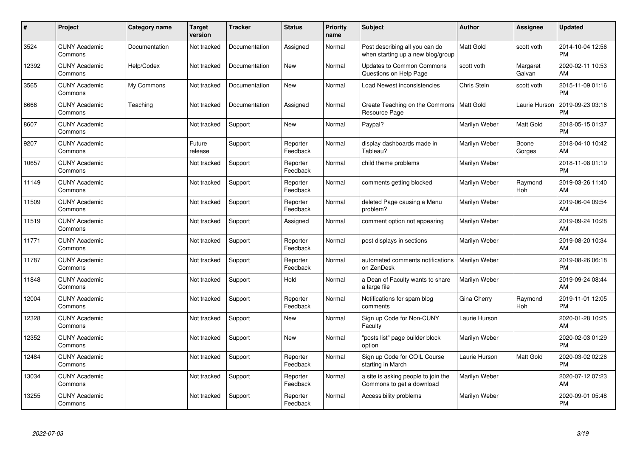| $\pmb{\#}$ | Project                         | <b>Category name</b> | <b>Target</b><br>version | <b>Tracker</b> | <b>Status</b>        | <b>Priority</b><br>name | <b>Subject</b>                                                      | <b>Author</b>    | <b>Assignee</b>    | <b>Updated</b>                |
|------------|---------------------------------|----------------------|--------------------------|----------------|----------------------|-------------------------|---------------------------------------------------------------------|------------------|--------------------|-------------------------------|
| 3524       | <b>CUNY Academic</b><br>Commons | Documentation        | Not tracked              | Documentation  | Assigned             | Normal                  | Post describing all you can do<br>when starting up a new blog/group | <b>Matt Gold</b> | scott voth         | 2014-10-04 12:56<br><b>PM</b> |
| 12392      | <b>CUNY Academic</b><br>Commons | Help/Codex           | Not tracked              | Documentation  | <b>New</b>           | Normal                  | <b>Updates to Common Commons</b><br>Questions on Help Page          | scott voth       | Margaret<br>Galvan | 2020-02-11 10:53<br>AM        |
| 3565       | <b>CUNY Academic</b><br>Commons | My Commons           | Not tracked              | Documentation  | <b>New</b>           | Normal                  | <b>Load Newest inconsistencies</b>                                  | Chris Stein      | scott voth         | 2015-11-09 01:16<br><b>PM</b> |
| 8666       | <b>CUNY Academic</b><br>Commons | Teaching             | Not tracked              | Documentation  | Assigned             | Normal                  | Create Teaching on the Commons<br>Resource Page                     | Matt Gold        | Laurie Hurson      | 2019-09-23 03:16<br><b>PM</b> |
| 8607       | <b>CUNY Academic</b><br>Commons |                      | Not tracked              | Support        | <b>New</b>           | Normal                  | Paypal?                                                             | Marilyn Weber    | <b>Matt Gold</b>   | 2018-05-15 01:37<br><b>PM</b> |
| 9207       | <b>CUNY Academic</b><br>Commons |                      | Future<br>release        | Support        | Reporter<br>Feedback | Normal                  | display dashboards made in<br>Tableau?                              | Marilyn Weber    | Boone<br>Gorges    | 2018-04-10 10:42<br>AM        |
| 10657      | <b>CUNY Academic</b><br>Commons |                      | Not tracked              | Support        | Reporter<br>Feedback | Normal                  | child theme problems                                                | Marilyn Weber    |                    | 2018-11-08 01:19<br><b>PM</b> |
| 11149      | <b>CUNY Academic</b><br>Commons |                      | Not tracked              | Support        | Reporter<br>Feedback | Normal                  | comments getting blocked                                            | Marilyn Weber    | Raymond<br>Hoh     | 2019-03-26 11:40<br>AM        |
| 11509      | <b>CUNY Academic</b><br>Commons |                      | Not tracked              | Support        | Reporter<br>Feedback | Normal                  | deleted Page causing a Menu<br>problem?                             | Marilyn Weber    |                    | 2019-06-04 09:54<br>AM        |
| 11519      | <b>CUNY Academic</b><br>Commons |                      | Not tracked              | Support        | Assigned             | Normal                  | comment option not appearing                                        | Marilyn Weber    |                    | 2019-09-24 10:28<br>AM        |
| 11771      | <b>CUNY Academic</b><br>Commons |                      | Not tracked              | Support        | Reporter<br>Feedback | Normal                  | post displays in sections                                           | Marilyn Weber    |                    | 2019-08-20 10:34<br>AM        |
| 11787      | <b>CUNY Academic</b><br>Commons |                      | Not tracked              | Support        | Reporter<br>Feedback | Normal                  | automated comments notifications<br>on ZenDesk                      | Marilyn Weber    |                    | 2019-08-26 06:18<br><b>PM</b> |
| 11848      | <b>CUNY Academic</b><br>Commons |                      | Not tracked              | Support        | Hold                 | Normal                  | a Dean of Faculty wants to share<br>a large file                    | Marilyn Weber    |                    | 2019-09-24 08:44<br>AM        |
| 12004      | <b>CUNY Academic</b><br>Commons |                      | Not tracked              | Support        | Reporter<br>Feedback | Normal                  | Notifications for spam blog<br>comments                             | Gina Cherry      | Raymond<br>Hoh     | 2019-11-01 12:05<br><b>PM</b> |
| 12328      | <b>CUNY Academic</b><br>Commons |                      | Not tracked              | Support        | <b>New</b>           | Normal                  | Sign up Code for Non-CUNY<br>Faculty                                | Laurie Hurson    |                    | 2020-01-28 10:25<br><b>AM</b> |
| 12352      | <b>CUNY Academic</b><br>Commons |                      | Not tracked              | Support        | <b>New</b>           | Normal                  | "posts list" page builder block<br>option                           | Marilyn Weber    |                    | 2020-02-03 01:29<br><b>PM</b> |
| 12484      | <b>CUNY Academic</b><br>Commons |                      | Not tracked              | Support        | Reporter<br>Feedback | Normal                  | Sign up Code for COIL Course<br>starting in March                   | Laurie Hurson    | <b>Matt Gold</b>   | 2020-03-02 02:26<br><b>PM</b> |
| 13034      | <b>CUNY Academic</b><br>Commons |                      | Not tracked              | Support        | Reporter<br>Feedback | Normal                  | a site is asking people to join the<br>Commons to get a download    | Marilyn Weber    |                    | 2020-07-12 07:23<br>AM        |
| 13255      | <b>CUNY Academic</b><br>Commons |                      | Not tracked              | Support        | Reporter<br>Feedback | Normal                  | Accessibility problems                                              | Marilyn Weber    |                    | 2020-09-01 05:48<br>PM        |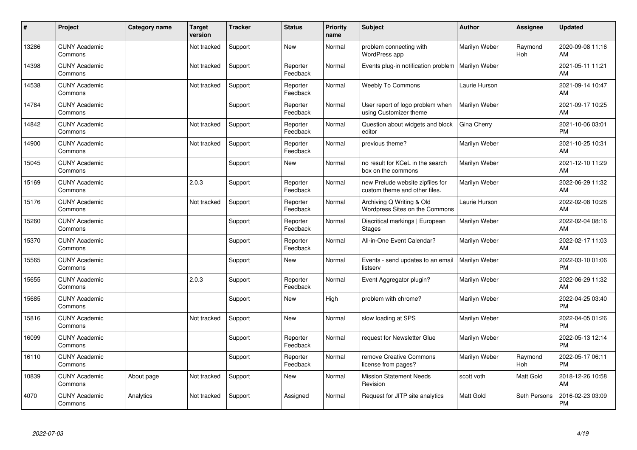| #     | Project                         | Category name | <b>Target</b><br>version | <b>Tracker</b> | <b>Status</b>        | <b>Priority</b><br>name | <b>Subject</b>                                                    | <b>Author</b>    | Assignee       | <b>Updated</b>                |
|-------|---------------------------------|---------------|--------------------------|----------------|----------------------|-------------------------|-------------------------------------------------------------------|------------------|----------------|-------------------------------|
| 13286 | <b>CUNY Academic</b><br>Commons |               | Not tracked              | Support        | <b>New</b>           | Normal                  | problem connecting with<br>WordPress app                          | Marilyn Weber    | Raymond<br>Hoh | 2020-09-08 11:16<br>AM        |
| 14398 | <b>CUNY Academic</b><br>Commons |               | Not tracked              | Support        | Reporter<br>Feedback | Normal                  | Events plug-in notification problem   Marilyn Weber               |                  |                | 2021-05-11 11:21<br>AM        |
| 14538 | <b>CUNY Academic</b><br>Commons |               | Not tracked              | Support        | Reporter<br>Feedback | Normal                  | <b>Weebly To Commons</b>                                          | Laurie Hurson    |                | 2021-09-14 10:47<br>AM        |
| 14784 | <b>CUNY Academic</b><br>Commons |               |                          | Support        | Reporter<br>Feedback | Normal                  | User report of logo problem when<br>using Customizer theme        | Marilyn Weber    |                | 2021-09-17 10:25<br>AM        |
| 14842 | <b>CUNY Academic</b><br>Commons |               | Not tracked              | Support        | Reporter<br>Feedback | Normal                  | Question about widgets and block<br>editor                        | Gina Cherry      |                | 2021-10-06 03:01<br><b>PM</b> |
| 14900 | <b>CUNY Academic</b><br>Commons |               | Not tracked              | Support        | Reporter<br>Feedback | Normal                  | previous theme?                                                   | Marilyn Weber    |                | 2021-10-25 10:31<br>AM        |
| 15045 | <b>CUNY Academic</b><br>Commons |               |                          | Support        | <b>New</b>           | Normal                  | no result for KCeL in the search<br>box on the commons            | Marilyn Weber    |                | 2021-12-10 11:29<br>AM        |
| 15169 | <b>CUNY Academic</b><br>Commons |               | 2.0.3                    | Support        | Reporter<br>Feedback | Normal                  | new Prelude website zipfiles for<br>custom theme and other files. | Marilyn Weber    |                | 2022-06-29 11:32<br>AM        |
| 15176 | <b>CUNY Academic</b><br>Commons |               | Not tracked              | Support        | Reporter<br>Feedback | Normal                  | Archiving Q Writing & Old<br>Wordpress Sites on the Commons       | Laurie Hurson    |                | 2022-02-08 10:28<br>AM        |
| 15260 | <b>CUNY Academic</b><br>Commons |               |                          | Support        | Reporter<br>Feedback | Normal                  | Diacritical markings   European<br><b>Stages</b>                  | Marilyn Weber    |                | 2022-02-04 08:16<br>AM        |
| 15370 | <b>CUNY Academic</b><br>Commons |               |                          | Support        | Reporter<br>Feedback | Normal                  | All-in-One Event Calendar?                                        | Marilyn Weber    |                | 2022-02-17 11:03<br>AM        |
| 15565 | <b>CUNY Academic</b><br>Commons |               |                          | Support        | <b>New</b>           | Normal                  | Events - send updates to an email<br>listserv                     | Marilyn Weber    |                | 2022-03-10 01:06<br><b>PM</b> |
| 15655 | <b>CUNY Academic</b><br>Commons |               | 2.0.3                    | Support        | Reporter<br>Feedback | Normal                  | Event Aggregator plugin?                                          | Marilyn Weber    |                | 2022-06-29 11:32<br><b>AM</b> |
| 15685 | <b>CUNY Academic</b><br>Commons |               |                          | Support        | <b>New</b>           | High                    | problem with chrome?                                              | Marilyn Weber    |                | 2022-04-25 03:40<br><b>PM</b> |
| 15816 | <b>CUNY Academic</b><br>Commons |               | Not tracked              | Support        | <b>New</b>           | Normal                  | slow loading at SPS                                               | Marilyn Weber    |                | 2022-04-05 01:26<br><b>PM</b> |
| 16099 | <b>CUNY Academic</b><br>Commons |               |                          | Support        | Reporter<br>Feedback | Normal                  | request for Newsletter Glue                                       | Marilyn Weber    |                | 2022-05-13 12:14<br><b>PM</b> |
| 16110 | <b>CUNY Academic</b><br>Commons |               |                          | Support        | Reporter<br>Feedback | Normal                  | remove Creative Commons<br>license from pages?                    | Marilyn Weber    | Raymond<br>Hoh | 2022-05-17 06:11<br><b>PM</b> |
| 10839 | <b>CUNY Academic</b><br>Commons | About page    | Not tracked              | Support        | New                  | Normal                  | <b>Mission Statement Needs</b><br>Revision                        | scott voth       | Matt Gold      | 2018-12-26 10:58<br>AM        |
| 4070  | <b>CUNY Academic</b><br>Commons | Analytics     | Not tracked              | Support        | Assigned             | Normal                  | Request for JITP site analytics                                   | <b>Matt Gold</b> | Seth Persons   | 2016-02-23 03:09<br>PM        |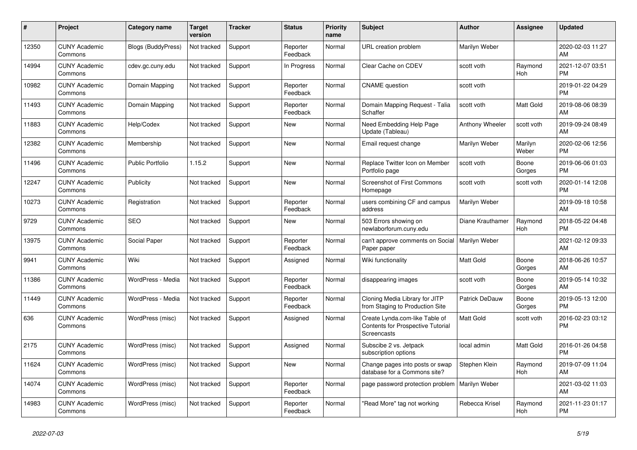| #     | Project                         | <b>Category name</b>      | Target<br>version | <b>Tracker</b> | <b>Status</b>        | <b>Priority</b><br>name | <b>Subject</b>                                                                            | Author           | <b>Assignee</b>  | <b>Updated</b>                |
|-------|---------------------------------|---------------------------|-------------------|----------------|----------------------|-------------------------|-------------------------------------------------------------------------------------------|------------------|------------------|-------------------------------|
| 12350 | <b>CUNY Academic</b><br>Commons | <b>Blogs (BuddyPress)</b> | Not tracked       | Support        | Reporter<br>Feedback | Normal                  | URL creation problem                                                                      | Marilyn Weber    |                  | 2020-02-03 11:27<br>AM        |
| 14994 | <b>CUNY Academic</b><br>Commons | cdev.gc.cuny.edu          | Not tracked       | Support        | In Progress          | Normal                  | Clear Cache on CDEV                                                                       | scott voth       | Raymond<br>Hoh   | 2021-12-07 03:51<br><b>PM</b> |
| 10982 | <b>CUNY Academic</b><br>Commons | Domain Mapping            | Not tracked       | Support        | Reporter<br>Feedback | Normal                  | <b>CNAME</b> question                                                                     | scott voth       |                  | 2019-01-22 04:29<br><b>PM</b> |
| 11493 | <b>CUNY Academic</b><br>Commons | Domain Mapping            | Not tracked       | Support        | Reporter<br>Feedback | Normal                  | Domain Mapping Request - Talia<br>Schaffer                                                | scott voth       | <b>Matt Gold</b> | 2019-08-06 08:39<br>AM        |
| 11883 | <b>CUNY Academic</b><br>Commons | Help/Codex                | Not tracked       | Support        | New                  | Normal                  | Need Embedding Help Page<br>Update (Tableau)                                              | Anthony Wheeler  | scott voth       | 2019-09-24 08:49<br>AM        |
| 12382 | <b>CUNY Academic</b><br>Commons | Membership                | Not tracked       | Support        | <b>New</b>           | Normal                  | Email request change                                                                      | Marilyn Weber    | Marilyn<br>Weber | 2020-02-06 12:56<br><b>PM</b> |
| 11496 | <b>CUNY Academic</b><br>Commons | <b>Public Portfolio</b>   | 1.15.2            | Support        | <b>New</b>           | Normal                  | Replace Twitter Icon on Member<br>Portfolio page                                          | scott voth       | Boone<br>Gorges  | 2019-06-06 01:03<br><b>PM</b> |
| 12247 | <b>CUNY Academic</b><br>Commons | Publicity                 | Not tracked       | Support        | <b>New</b>           | Normal                  | <b>Screenshot of First Commons</b><br>Homepage                                            | scott voth       | scott voth       | 2020-01-14 12:08<br>PM.       |
| 10273 | <b>CUNY Academic</b><br>Commons | Registration              | Not tracked       | Support        | Reporter<br>Feedback | Normal                  | users combining CF and campus<br>address                                                  | Marilyn Weber    |                  | 2019-09-18 10:58<br>AM        |
| 9729  | <b>CUNY Academic</b><br>Commons | <b>SEO</b>                | Not tracked       | Support        | New                  | Normal                  | 503 Errors showing on<br>newlaborforum.cuny.edu                                           | Diane Krauthamer | Raymond<br>Hoh   | 2018-05-22 04:48<br><b>PM</b> |
| 13975 | <b>CUNY Academic</b><br>Commons | Social Paper              | Not tracked       | Support        | Reporter<br>Feedback | Normal                  | can't approve comments on Social<br>Paper paper                                           | Marilyn Weber    |                  | 2021-02-12 09:33<br>AM        |
| 9941  | <b>CUNY Academic</b><br>Commons | Wiki                      | Not tracked       | Support        | Assigned             | Normal                  | Wiki functionality                                                                        | Matt Gold        | Boone<br>Gorges  | 2018-06-26 10:57<br>AM        |
| 11386 | <b>CUNY Academic</b><br>Commons | WordPress - Media         | Not tracked       | Support        | Reporter<br>Feedback | Normal                  | disappearing images                                                                       | scott voth       | Boone<br>Gorges  | 2019-05-14 10:32<br>AM        |
| 11449 | <b>CUNY Academic</b><br>Commons | WordPress - Media         | Not tracked       | Support        | Reporter<br>Feedback | Normal                  | Cloning Media Library for JITP<br>from Staging to Production Site                         | Patrick DeDauw   | Boone<br>Gorges  | 2019-05-13 12:00<br><b>PM</b> |
| 636   | <b>CUNY Academic</b><br>Commons | WordPress (misc)          | Not tracked       | Support        | Assigned             | Normal                  | Create Lynda.com-like Table of<br><b>Contents for Prospective Tutorial</b><br>Screencasts | <b>Matt Gold</b> | scott voth       | 2016-02-23 03:12<br><b>PM</b> |
| 2175  | <b>CUNY Academic</b><br>Commons | WordPress (misc)          | Not tracked       | Support        | Assigned             | Normal                  | Subscibe 2 vs. Jetpack<br>subscription options                                            | local admin      | Matt Gold        | 2016-01-26 04:58<br><b>PM</b> |
| 11624 | <b>CUNY Academic</b><br>Commons | WordPress (misc)          | Not tracked       | Support        | <b>New</b>           | Normal                  | Change pages into posts or swap<br>database for a Commons site?                           | Stephen Klein    | Raymond<br>Hoh   | 2019-07-09 11:04<br>AM        |
| 14074 | <b>CUNY Academic</b><br>Commons | WordPress (misc)          | Not tracked       | Support        | Reporter<br>Feedback | Normal                  | page password protection problem   Marilyn Weber                                          |                  |                  | 2021-03-02 11:03<br>AM        |
| 14983 | <b>CUNY Academic</b><br>Commons | WordPress (misc)          | Not tracked       | Support        | Reporter<br>Feedback | Normal                  | "Read More" tag not working                                                               | Rebecca Krisel   | Raymond<br>Hoh   | 2021-11-23 01:17<br><b>PM</b> |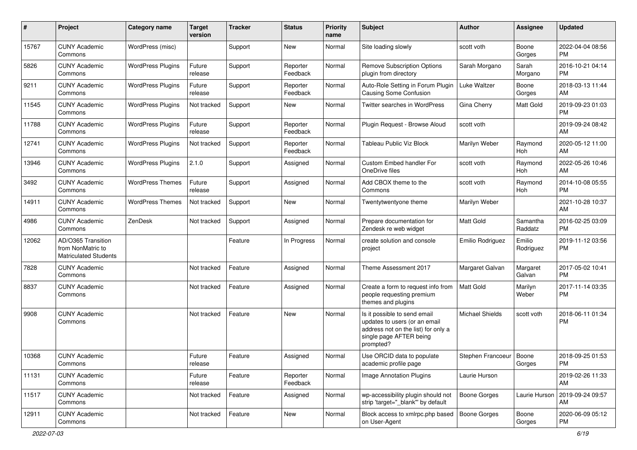| #     | Project                                                                 | Category name            | <b>Target</b><br>version | <b>Tracker</b> | <b>Status</b>        | <b>Priority</b><br>name | <b>Subject</b>                                                                                                                               | Author                    | <b>Assignee</b>     | <b>Updated</b>                |
|-------|-------------------------------------------------------------------------|--------------------------|--------------------------|----------------|----------------------|-------------------------|----------------------------------------------------------------------------------------------------------------------------------------------|---------------------------|---------------------|-------------------------------|
| 15767 | <b>CUNY Academic</b><br>Commons                                         | WordPress (misc)         |                          | Support        | <b>New</b>           | Normal                  | Site loading slowly                                                                                                                          | scott voth                | Boone<br>Gorges     | 2022-04-04 08:56<br><b>PM</b> |
| 5826  | <b>CUNY Academic</b><br>Commons                                         | <b>WordPress Plugins</b> | Future<br>release        | Support        | Reporter<br>Feedback | Normal                  | <b>Remove Subscription Options</b><br>plugin from directory                                                                                  | Sarah Morgano             | Sarah<br>Morgano    | 2016-10-21 04:14<br><b>PM</b> |
| 9211  | <b>CUNY Academic</b><br>Commons                                         | <b>WordPress Plugins</b> | Future<br>release        | Support        | Reporter<br>Feedback | Normal                  | Auto-Role Setting in Forum Plugin<br>Causing Some Confusion                                                                                  | Luke Waltzer              | Boone<br>Gorges     | 2018-03-13 11:44<br>AM        |
| 11545 | <b>CUNY Academic</b><br>Commons                                         | <b>WordPress Plugins</b> | Not tracked              | Support        | New                  | Normal                  | Twitter searches in WordPress                                                                                                                | Gina Cherry               | Matt Gold           | 2019-09-23 01:03<br><b>PM</b> |
| 11788 | <b>CUNY Academic</b><br>Commons                                         | <b>WordPress Plugins</b> | Future<br>release        | Support        | Reporter<br>Feedback | Normal                  | Plugin Request - Browse Aloud                                                                                                                | scott voth                |                     | 2019-09-24 08:42<br>AM        |
| 12741 | <b>CUNY Academic</b><br>Commons                                         | <b>WordPress Plugins</b> | Not tracked              | Support        | Reporter<br>Feedback | Normal                  | Tableau Public Viz Block                                                                                                                     | Marilyn Weber             | Raymond<br>Hoh      | 2020-05-12 11:00<br>AM        |
| 13946 | <b>CUNY Academic</b><br>Commons                                         | <b>WordPress Plugins</b> | 2.1.0                    | Support        | Assigned             | Normal                  | Custom Embed handler For<br>OneDrive files                                                                                                   | scott voth                | Raymond<br>Hoh      | 2022-05-26 10:46<br>AM        |
| 3492  | <b>CUNY Academic</b><br>Commons                                         | <b>WordPress Themes</b>  | Future<br>release        | Support        | Assigned             | Normal                  | Add CBOX theme to the<br>Commons                                                                                                             | scott voth                | Raymond<br>Hoh      | 2014-10-08 05:55<br><b>PM</b> |
| 14911 | <b>CUNY Academic</b><br>Commons                                         | <b>WordPress Themes</b>  | Not tracked              | Support        | New                  | Normal                  | Twentytwentyone theme                                                                                                                        | Marilyn Weber             |                     | 2021-10-28 10:37<br>AM        |
| 4986  | <b>CUNY Academic</b><br>Commons                                         | ZenDesk                  | Not tracked              | Support        | Assigned             | Normal                  | Prepare documentation for<br>Zendesk re web widget                                                                                           | <b>Matt Gold</b>          | Samantha<br>Raddatz | 2016-02-25 03:09<br><b>PM</b> |
| 12062 | AD/O365 Transition<br>from NonMatric to<br><b>Matriculated Students</b> |                          |                          | Feature        | In Progress          | Normal                  | create solution and console<br>project                                                                                                       | Emilio Rodriguez          | Emilio<br>Rodriguez | 2019-11-12 03:56<br><b>PM</b> |
| 7828  | <b>CUNY Academic</b><br>Commons                                         |                          | Not tracked              | Feature        | Assigned             | Normal                  | Theme Assessment 2017                                                                                                                        | Margaret Galvan           | Margaret<br>Galvan  | 2017-05-02 10:41<br><b>PM</b> |
| 8837  | <b>CUNY Academic</b><br>Commons                                         |                          | Not tracked              | Feature        | Assigned             | Normal                  | Create a form to request info from<br>people requesting premium<br>themes and plugins                                                        | <b>Matt Gold</b>          | Marilyn<br>Weber    | 2017-11-14 03:35<br><b>PM</b> |
| 9908  | <b>CUNY Academic</b><br>Commons                                         |                          | Not tracked              | Feature        | <b>New</b>           | Normal                  | Is it possible to send email<br>updates to users (or an email<br>address not on the list) for only a<br>single page AFTER being<br>prompted? | <b>Michael Shields</b>    | scott voth          | 2018-06-11 01:34<br><b>PM</b> |
| 10368 | <b>CUNY Academic</b><br>Commons                                         |                          | Future<br>release        | Feature        | Assigned             | Normal                  | Use ORCID data to populate<br>academic profile page                                                                                          | Stephen Francoeur   Boone | Gorges              | 2018-09-25 01:53<br><b>PM</b> |
| 11131 | <b>CUNY Academic</b><br>Commons                                         |                          | Future<br>release        | Feature        | Reporter<br>Feedback | Normal                  | Image Annotation Plugins                                                                                                                     | Laurie Hurson             |                     | 2019-02-26 11:33<br>AM        |
| 11517 | <b>CUNY Academic</b><br>Commons                                         |                          | Not tracked              | Feature        | Assigned             | Normal                  | wp-accessibility plugin should not<br>strip 'target=" blank" by default                                                                      | Boone Gorges              | Laurie Hurson       | 2019-09-24 09:57<br>AM        |
| 12911 | <b>CUNY Academic</b><br>Commons                                         |                          | Not tracked              | Feature        | New                  | Normal                  | Block access to xmlrpc.php based<br>on User-Agent                                                                                            | <b>Boone Gorges</b>       | Boone<br>Gorges     | 2020-06-09 05:12<br>PM        |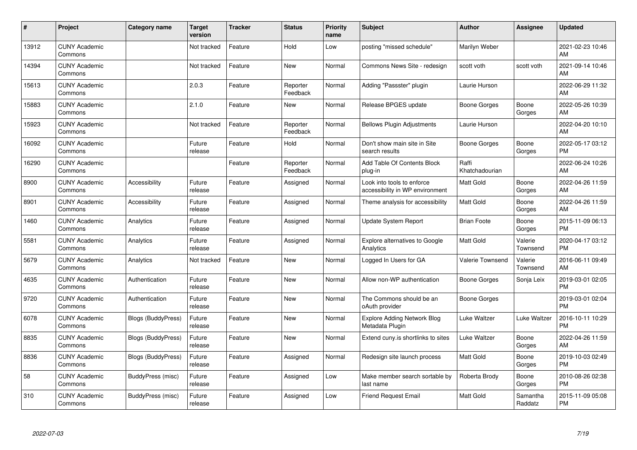| #     | Project                         | <b>Category name</b>      | <b>Target</b><br>version | <b>Tracker</b> | <b>Status</b>        | <b>Priority</b><br>name | <b>Subject</b>                                                | <b>Author</b>           | <b>Assignee</b>     | <b>Updated</b>                |
|-------|---------------------------------|---------------------------|--------------------------|----------------|----------------------|-------------------------|---------------------------------------------------------------|-------------------------|---------------------|-------------------------------|
| 13912 | <b>CUNY Academic</b><br>Commons |                           | Not tracked              | Feature        | Hold                 | Low                     | posting "missed schedule"                                     | Marilyn Weber           |                     | 2021-02-23 10:46<br>AM        |
| 14394 | <b>CUNY Academic</b><br>Commons |                           | Not tracked              | Feature        | <b>New</b>           | Normal                  | Commons News Site - redesign                                  | scott voth              | scott voth          | 2021-09-14 10:46<br>AM        |
| 15613 | <b>CUNY Academic</b><br>Commons |                           | 2.0.3                    | Feature        | Reporter<br>Feedback | Normal                  | Adding "Passster" plugin                                      | Laurie Hurson           |                     | 2022-06-29 11:32<br>AM        |
| 15883 | <b>CUNY Academic</b><br>Commons |                           | 2.1.0                    | Feature        | <b>New</b>           | Normal                  | Release BPGES update                                          | Boone Gorges            | Boone<br>Gorges     | 2022-05-26 10:39<br>AM        |
| 15923 | <b>CUNY Academic</b><br>Commons |                           | Not tracked              | Feature        | Reporter<br>Feedback | Normal                  | <b>Bellows Plugin Adjustments</b>                             | Laurie Hurson           |                     | 2022-04-20 10:10<br>AM        |
| 16092 | <b>CUNY Academic</b><br>Commons |                           | Future<br>release        | Feature        | Hold                 | Normal                  | Don't show main site in Site<br>search results                | Boone Gorges            | Boone<br>Gorges     | 2022-05-17 03:12<br><b>PM</b> |
| 16290 | <b>CUNY Academic</b><br>Commons |                           |                          | Feature        | Reporter<br>Feedback | Normal                  | Add Table Of Contents Block<br>plug-in                        | Raffi<br>Khatchadourian |                     | 2022-06-24 10:26<br>AM        |
| 8900  | <b>CUNY Academic</b><br>Commons | Accessibility             | Future<br>release        | Feature        | Assigned             | Normal                  | Look into tools to enforce<br>accessibility in WP environment | <b>Matt Gold</b>        | Boone<br>Gorges     | 2022-04-26 11:59<br>AM        |
| 8901  | <b>CUNY Academic</b><br>Commons | Accessibility             | Future<br>release        | Feature        | Assigned             | Normal                  | Theme analysis for accessibility                              | <b>Matt Gold</b>        | Boone<br>Gorges     | 2022-04-26 11:59<br>AM        |
| 1460  | <b>CUNY Academic</b><br>Commons | Analytics                 | Future<br>release        | Feature        | Assigned             | Normal                  | <b>Update System Report</b>                                   | <b>Brian Foote</b>      | Boone<br>Gorges     | 2015-11-09 06:13<br><b>PM</b> |
| 5581  | <b>CUNY Academic</b><br>Commons | Analytics                 | Future<br>release        | Feature        | Assigned             | Normal                  | <b>Explore alternatives to Google</b><br>Analytics            | Matt Gold               | Valerie<br>Townsend | 2020-04-17 03:12<br><b>PM</b> |
| 5679  | <b>CUNY Academic</b><br>Commons | Analytics                 | Not tracked              | Feature        | <b>New</b>           | Normal                  | Logged In Users for GA                                        | Valerie Townsend        | Valerie<br>Townsend | 2016-06-11 09:49<br>AM        |
| 4635  | <b>CUNY Academic</b><br>Commons | Authentication            | Future<br>release        | Feature        | New                  | Normal                  | Allow non-WP authentication                                   | Boone Gorges            | Sonja Leix          | 2019-03-01 02:05<br><b>PM</b> |
| 9720  | <b>CUNY Academic</b><br>Commons | Authentication            | Future<br>release        | Feature        | <b>New</b>           | Normal                  | The Commons should be an<br>oAuth provider                    | Boone Gorges            |                     | 2019-03-01 02:04<br><b>PM</b> |
| 6078  | <b>CUNY Academic</b><br>Commons | <b>Blogs (BuddyPress)</b> | Future<br>release        | Feature        | <b>New</b>           | Normal                  | <b>Explore Adding Network Blog</b><br>Metadata Plugin         | Luke Waltzer            | Luke Waltzer        | 2016-10-11 10:29<br><b>PM</b> |
| 8835  | <b>CUNY Academic</b><br>Commons | <b>Blogs (BuddyPress)</b> | Future<br>release        | Feature        | <b>New</b>           | Normal                  | Extend cuny is shortlinks to sites                            | Luke Waltzer            | Boone<br>Gorges     | 2022-04-26 11:59<br>AM        |
| 8836  | <b>CUNY Academic</b><br>Commons | <b>Blogs (BuddyPress)</b> | Future<br>release        | Feature        | Assigned             | Normal                  | Redesign site launch process                                  | <b>Matt Gold</b>        | Boone<br>Gorges     | 2019-10-03 02:49<br><b>PM</b> |
| 58    | <b>CUNY Academic</b><br>Commons | BuddyPress (misc)         | Future<br>release        | Feature        | Assigned             | Low                     | Make member search sortable by<br>last name                   | Roberta Brody           | Boone<br>Gorges     | 2010-08-26 02:38<br><b>PM</b> |
| 310   | <b>CUNY Academic</b><br>Commons | BuddyPress (misc)         | Future<br>release        | Feature        | Assigned             | Low                     | <b>Friend Request Email</b>                                   | <b>Matt Gold</b>        | Samantha<br>Raddatz | 2015-11-09 05:08<br><b>PM</b> |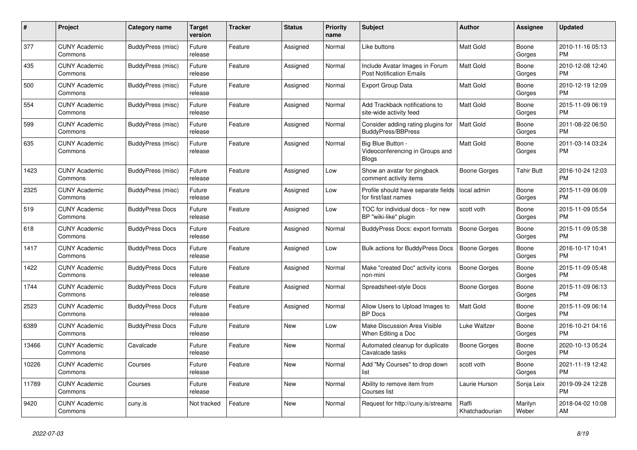| $\pmb{\#}$ | <b>Project</b>                  | <b>Category name</b>     | <b>Target</b><br>version | <b>Tracker</b> | <b>Status</b> | <b>Priority</b><br>name | <b>Subject</b>                                                       | <b>Author</b>           | Assignee         | <b>Updated</b>                |
|------------|---------------------------------|--------------------------|--------------------------|----------------|---------------|-------------------------|----------------------------------------------------------------------|-------------------------|------------------|-------------------------------|
| 377        | <b>CUNY Academic</b><br>Commons | <b>BuddyPress (misc)</b> | Future<br>release        | Feature        | Assigned      | Normal                  | Like buttons                                                         | <b>Matt Gold</b>        | Boone<br>Gorges  | 2010-11-16 05:13<br><b>PM</b> |
| 435        | <b>CUNY Academic</b><br>Commons | BuddyPress (misc)        | Future<br>release        | Feature        | Assigned      | Normal                  | Include Avatar Images in Forum<br><b>Post Notification Emails</b>    | <b>Matt Gold</b>        | Boone<br>Gorges  | 2010-12-08 12:40<br><b>PM</b> |
| 500        | <b>CUNY Academic</b><br>Commons | BuddyPress (misc)        | Future<br>release        | Feature        | Assigned      | Normal                  | <b>Export Group Data</b>                                             | Matt Gold               | Boone<br>Gorges  | 2010-12-19 12:09<br><b>PM</b> |
| 554        | <b>CUNY Academic</b><br>Commons | BuddyPress (misc)        | Future<br>release        | Feature        | Assigned      | Normal                  | Add Trackback notifications to<br>site-wide activity feed            | Matt Gold               | Boone<br>Gorges  | 2015-11-09 06:19<br><b>PM</b> |
| 599        | <b>CUNY Academic</b><br>Commons | BuddyPress (misc)        | Future<br>release        | Feature        | Assigned      | Normal                  | Consider adding rating plugins for<br>BuddyPress/BBPress             | <b>Matt Gold</b>        | Boone<br>Gorges  | 2011-08-22 06:50<br><b>PM</b> |
| 635        | <b>CUNY Academic</b><br>Commons | <b>BuddyPress (misc)</b> | Future<br>release        | Feature        | Assigned      | Normal                  | Big Blue Button -<br>Videoconferencing in Groups and<br><b>Blogs</b> | Matt Gold               | Boone<br>Gorges  | 2011-03-14 03:24<br><b>PM</b> |
| 1423       | <b>CUNY Academic</b><br>Commons | BuddyPress (misc)        | Future<br>release        | Feature        | Assigned      | Low                     | Show an avatar for pingback<br>comment activity items                | Boone Gorges            | Tahir Butt       | 2016-10-24 12:03<br><b>PM</b> |
| 2325       | <b>CUNY Academic</b><br>Commons | BuddyPress (misc)        | Future<br>release        | Feature        | Assigned      | Low                     | Profile should have separate fields<br>for first/last names          | local admin             | Boone<br>Gorges  | 2015-11-09 06:09<br><b>PM</b> |
| 519        | <b>CUNY Academic</b><br>Commons | <b>BuddyPress Docs</b>   | Future<br>release        | Feature        | Assigned      | Low                     | TOC for individual docs - for new<br>BP "wiki-like" plugin           | scott voth              | Boone<br>Gorges  | 2015-11-09 05:54<br><b>PM</b> |
| 618        | <b>CUNY Academic</b><br>Commons | <b>BuddyPress Docs</b>   | Future<br>release        | Feature        | Assigned      | Normal                  | <b>BuddyPress Docs: export formats</b>                               | <b>Boone Gorges</b>     | Boone<br>Gorges  | 2015-11-09 05:38<br><b>PM</b> |
| 1417       | <b>CUNY Academic</b><br>Commons | <b>BuddyPress Docs</b>   | Future<br>release        | Feature        | Assigned      | Low                     | Bulk actions for BuddyPress Docs                                     | <b>Boone Gorges</b>     | Boone<br>Gorges  | 2016-10-17 10:41<br><b>PM</b> |
| 1422       | <b>CUNY Academic</b><br>Commons | <b>BuddyPress Docs</b>   | Future<br>release        | Feature        | Assigned      | Normal                  | Make "created Doc" activity icons<br>non-mini                        | Boone Gorges            | Boone<br>Gorges  | 2015-11-09 05:48<br><b>PM</b> |
| 1744       | <b>CUNY Academic</b><br>Commons | <b>BuddyPress Docs</b>   | Future<br>release        | Feature        | Assigned      | Normal                  | Spreadsheet-style Docs                                               | Boone Gorges            | Boone<br>Gorges  | 2015-11-09 06:13<br><b>PM</b> |
| 2523       | <b>CUNY Academic</b><br>Commons | <b>BuddyPress Docs</b>   | Future<br>release        | Feature        | Assigned      | Normal                  | Allow Users to Upload Images to<br><b>BP</b> Docs                    | Matt Gold               | Boone<br>Gorges  | 2015-11-09 06:14<br><b>PM</b> |
| 6389       | <b>CUNY Academic</b><br>Commons | <b>BuddyPress Docs</b>   | Future<br>release        | Feature        | New           | Low                     | Make Discussion Area Visible<br>When Editing a Doc                   | Luke Waltzer            | Boone<br>Gorges  | 2016-10-21 04:16<br><b>PM</b> |
| 13466      | <b>CUNY Academic</b><br>Commons | Cavalcade                | Future<br>release        | Feature        | <b>New</b>    | Normal                  | Automated cleanup for duplicate<br>Cavalcade tasks                   | <b>Boone Gorges</b>     | Boone<br>Gorges  | 2020-10-13 05:24<br><b>PM</b> |
| 10226      | <b>CUNY Academic</b><br>Commons | Courses                  | Future<br>release        | Feature        | <b>New</b>    | Normal                  | Add "My Courses" to drop down<br>list                                | scott voth              | Boone<br>Gorges  | 2021-11-19 12:42<br><b>PM</b> |
| 11789      | <b>CUNY Academic</b><br>Commons | Courses                  | Future<br>release        | Feature        | New           | Normal                  | Ability to remove item from<br>Courses list                          | Laurie Hurson           | Sonja Leix       | 2019-09-24 12:28<br><b>PM</b> |
| 9420       | <b>CUNY Academic</b><br>Commons | cuny.is                  | Not tracked              | Feature        | <b>New</b>    | Normal                  | Request for http://cuny.is/streams                                   | Raffi<br>Khatchadourian | Marilyn<br>Weber | 2018-04-02 10:08<br>AM        |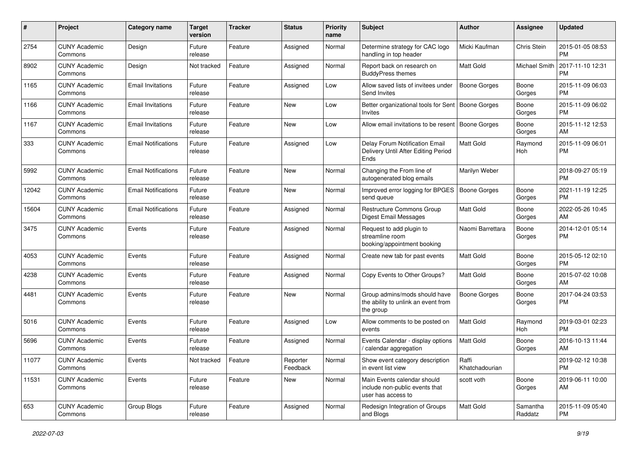| #     | Project                         | <b>Category name</b>       | <b>Target</b><br>version | <b>Tracker</b> | <b>Status</b>        | Priority<br>name | <b>Subject</b>                                                                      | Author                  | <b>Assignee</b>     | <b>Updated</b>                |
|-------|---------------------------------|----------------------------|--------------------------|----------------|----------------------|------------------|-------------------------------------------------------------------------------------|-------------------------|---------------------|-------------------------------|
| 2754  | <b>CUNY Academic</b><br>Commons | Design                     | Future<br>release        | Feature        | Assigned             | Normal           | Determine strategy for CAC logo<br>handling in top header                           | Micki Kaufman           | Chris Stein         | 2015-01-05 08:53<br><b>PM</b> |
| 8902  | <b>CUNY Academic</b><br>Commons | Design                     | Not tracked              | Feature        | Assigned             | Normal           | Report back on research on<br><b>BuddyPress themes</b>                              | <b>Matt Gold</b>        | Michael Smith       | 2017-11-10 12:31<br><b>PM</b> |
| 1165  | <b>CUNY Academic</b><br>Commons | <b>Email Invitations</b>   | Future<br>release        | Feature        | Assigned             | Low              | Allow saved lists of invitees under<br>Send Invites                                 | <b>Boone Gorges</b>     | Boone<br>Gorges     | 2015-11-09 06:03<br><b>PM</b> |
| 1166  | <b>CUNY Academic</b><br>Commons | <b>Email Invitations</b>   | Future<br>release        | Feature        | New                  | Low              | Better organizational tools for Sent   Boone Gorges<br>Invites                      |                         | Boone<br>Gorges     | 2015-11-09 06:02<br><b>PM</b> |
| 1167  | <b>CUNY Academic</b><br>Commons | <b>Email Invitations</b>   | Future<br>release        | Feature        | <b>New</b>           | Low              | Allow email invitations to be resent   Boone Gorges                                 |                         | Boone<br>Gorges     | 2015-11-12 12:53<br>AM        |
| 333   | <b>CUNY Academic</b><br>Commons | <b>Email Notifications</b> | Future<br>release        | Feature        | Assigned             | Low              | Delay Forum Notification Email<br>Delivery Until After Editing Period<br>Ends       | <b>Matt Gold</b>        | Raymond<br>Hoh      | 2015-11-09 06:01<br><b>PM</b> |
| 5992  | <b>CUNY Academic</b><br>Commons | <b>Email Notifications</b> | Future<br>release        | Feature        | New                  | Normal           | Changing the From line of<br>autogenerated blog emails                              | Marilyn Weber           |                     | 2018-09-27 05:19<br><b>PM</b> |
| 12042 | <b>CUNY Academic</b><br>Commons | <b>Email Notifications</b> | Future<br>release        | Feature        | New                  | Normal           | Improved error logging for BPGES<br>send queue                                      | Boone Gorges            | Boone<br>Gorges     | 2021-11-19 12:25<br><b>PM</b> |
| 15604 | <b>CUNY Academic</b><br>Commons | <b>Email Notifications</b> | Future<br>release        | Feature        | Assigned             | Normal           | Restructure Commons Group<br><b>Digest Email Messages</b>                           | <b>Matt Gold</b>        | Boone<br>Gorges     | 2022-05-26 10:45<br>AM        |
| 3475  | <b>CUNY Academic</b><br>Commons | Events                     | Future<br>release        | Feature        | Assigned             | Normal           | Request to add plugin to<br>streamline room<br>booking/appointment booking          | Naomi Barrettara        | Boone<br>Gorges     | 2014-12-01 05:14<br><b>PM</b> |
| 4053  | <b>CUNY Academic</b><br>Commons | Events                     | Future<br>release        | Feature        | Assigned             | Normal           | Create new tab for past events                                                      | <b>Matt Gold</b>        | Boone<br>Gorges     | 2015-05-12 02:10<br><b>PM</b> |
| 4238  | <b>CUNY Academic</b><br>Commons | Events                     | Future<br>release        | Feature        | Assigned             | Normal           | Copy Events to Other Groups?                                                        | <b>Matt Gold</b>        | Boone<br>Gorges     | 2015-07-02 10:08<br>AM        |
| 4481  | <b>CUNY Academic</b><br>Commons | Events                     | Future<br>release        | Feature        | <b>New</b>           | Normal           | Group admins/mods should have<br>the ability to unlink an event from<br>the group   | Boone Gorges            | Boone<br>Gorges     | 2017-04-24 03:53<br><b>PM</b> |
| 5016  | <b>CUNY Academic</b><br>Commons | Events                     | Future<br>release        | Feature        | Assigned             | Low              | Allow comments to be posted on<br>events                                            | <b>Matt Gold</b>        | Raymond<br>Hoh      | 2019-03-01 02:23<br><b>PM</b> |
| 5696  | <b>CUNY Academic</b><br>Commons | Events                     | Future<br>release        | Feature        | Assigned             | Normal           | Events Calendar - display options<br>/ calendar aggregation                         | Matt Gold               | Boone<br>Gorges     | 2016-10-13 11:44<br>AM        |
| 11077 | <b>CUNY Academic</b><br>Commons | Events                     | Not tracked              | Feature        | Reporter<br>Feedback | Normal           | Show event category description<br>in event list view                               | Raffi<br>Khatchadourian |                     | 2019-02-12 10:38<br><b>PM</b> |
| 11531 | <b>CUNY Academic</b><br>Commons | Events                     | Future<br>release        | Feature        | New                  | Normal           | Main Events calendar should<br>include non-public events that<br>user has access to | scott voth              | Boone<br>Gorges     | 2019-06-11 10:00<br>AM        |
| 653   | <b>CUNY Academic</b><br>Commons | Group Blogs                | Future<br>release        | Feature        | Assigned             | Normal           | Redesign Integration of Groups<br>and Blogs                                         | Matt Gold               | Samantha<br>Raddatz | 2015-11-09 05:40<br><b>PM</b> |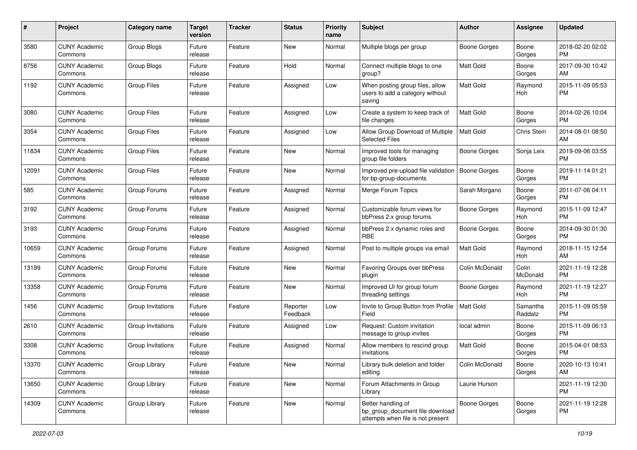| #     | Project                         | <b>Category name</b> | <b>Target</b><br>version | <b>Tracker</b> | <b>Status</b>        | <b>Priority</b><br>name | <b>Subject</b>                                                                             | Author              | <b>Assignee</b>     | <b>Updated</b>                |
|-------|---------------------------------|----------------------|--------------------------|----------------|----------------------|-------------------------|--------------------------------------------------------------------------------------------|---------------------|---------------------|-------------------------------|
| 3580  | <b>CUNY Academic</b><br>Commons | Group Blogs          | Future<br>release        | Feature        | New                  | Normal                  | Multiple blogs per group                                                                   | Boone Gorges        | Boone<br>Gorges     | 2018-02-20 02:02<br>PM        |
| 8756  | <b>CUNY Academic</b><br>Commons | Group Blogs          | Future<br>release        | Feature        | Hold                 | Normal                  | Connect multiple blogs to one<br>group?                                                    | <b>Matt Gold</b>    | Boone<br>Gorges     | 2017-09-30 10:42<br>AM        |
| 1192  | <b>CUNY Academic</b><br>Commons | <b>Group Files</b>   | Future<br>release        | Feature        | Assigned             | Low                     | When posting group files, allow<br>users to add a category without<br>saving               | Matt Gold           | Raymond<br>Hoh      | 2015-11-09 05:53<br><b>PM</b> |
| 3080  | <b>CUNY Academic</b><br>Commons | <b>Group Files</b>   | Future<br>release        | Feature        | Assigned             | Low                     | Create a system to keep track of<br>file changes                                           | Matt Gold           | Boone<br>Gorges     | 2014-02-26 10:04<br><b>PM</b> |
| 3354  | <b>CUNY Academic</b><br>Commons | <b>Group Files</b>   | Future<br>release        | Feature        | Assigned             | Low                     | Allow Group Download of Multiple<br>Selected Files                                         | Matt Gold           | Chris Stein         | 2014-08-01 08:50<br>AM        |
| 11834 | <b>CUNY Academic</b><br>Commons | <b>Group Files</b>   | Future<br>release        | Feature        | New                  | Normal                  | Improved tools for managing<br>group file folders                                          | Boone Gorges        | Sonja Leix          | 2019-09-06 03:55<br><b>PM</b> |
| 12091 | <b>CUNY Academic</b><br>Commons | <b>Group Files</b>   | Future<br>release        | Feature        | New                  | Normal                  | Improved pre-upload file validation<br>for bp-group-documents                              | Boone Gorges        | Boone<br>Gorges     | 2019-11-14 01:21<br><b>PM</b> |
| 585   | <b>CUNY Academic</b><br>Commons | Group Forums         | Future<br>release        | Feature        | Assigned             | Normal                  | Merge Forum Topics                                                                         | Sarah Morgano       | Boone<br>Gorges     | 2011-07-06 04:11<br><b>PM</b> |
| 3192  | <b>CUNY Academic</b><br>Commons | Group Forums         | Future<br>release        | Feature        | Assigned             | Normal                  | Customizable forum views for<br>bbPress 2.x group forums                                   | Boone Gorges        | Raymond<br>Hoh      | 2015-11-09 12:47<br><b>PM</b> |
| 3193  | <b>CUNY Academic</b><br>Commons | Group Forums         | Future<br>release        | Feature        | Assigned             | Normal                  | bbPress 2.x dynamic roles and<br><b>RBE</b>                                                | Boone Gorges        | Boone<br>Gorges     | 2014-09-30 01:30<br><b>PM</b> |
| 10659 | <b>CUNY Academic</b><br>Commons | Group Forums         | Future<br>release        | Feature        | Assigned             | Normal                  | Post to multiple groups via email                                                          | Matt Gold           | Raymond<br>Hoh      | 2018-11-15 12:54<br>AM        |
| 13199 | <b>CUNY Academic</b><br>Commons | Group Forums         | Future<br>release        | Feature        | New                  | Normal                  | Favoring Groups over bbPress<br>plugin                                                     | Colin McDonald      | Colin<br>McDonald   | 2021-11-19 12:28<br><b>PM</b> |
| 13358 | <b>CUNY Academic</b><br>Commons | Group Forums         | Future<br>release        | Feature        | New                  | Normal                  | Improved UI for group forum<br>threading settings                                          | Boone Gorges        | Raymond<br>Hoh      | 2021-11-19 12:27<br><b>PM</b> |
| 1456  | <b>CUNY Academic</b><br>Commons | Group Invitations    | Future<br>release        | Feature        | Reporter<br>Feedback | Low                     | Invite to Group Button from Profile<br>Field                                               | Matt Gold           | Samantha<br>Raddatz | 2015-11-09 05:59<br><b>PM</b> |
| 2610  | <b>CUNY Academic</b><br>Commons | Group Invitations    | Future<br>release        | Feature        | Assigned             | Low                     | Request: Custom invitation<br>message to group invites                                     | local admin         | Boone<br>Gorges     | 2015-11-09 06:13<br><b>PM</b> |
| 3308  | <b>CUNY Academic</b><br>Commons | Group Invitations    | Future<br>release        | Feature        | Assigned             | Normal                  | Allow members to rescind group<br>invitations                                              | <b>Matt Gold</b>    | Boone<br>Gorges     | 2015-04-01 08:53<br><b>PM</b> |
| 13370 | <b>CUNY Academic</b><br>Commons | Group Library        | Future<br>release        | Feature        | New                  | Normal                  | Library bulk deletion and folder<br>editing                                                | Colin McDonald      | Boone<br>Gorges     | 2020-10-13 10:41<br>AM        |
| 13650 | <b>CUNY Academic</b><br>Commons | Group Library        | Future<br>release        | Feature        | New                  | Normal                  | Forum Attachments in Group<br>Library                                                      | Laurie Hurson       |                     | 2021-11-19 12:30<br><b>PM</b> |
| 14309 | <b>CUNY Academic</b><br>Commons | Group Library        | Future<br>release        | Feature        | New                  | Normal                  | Better handling of<br>bp_group_document file download<br>attempts when file is not present | <b>Boone Gorges</b> | Boone<br>Gorges     | 2021-11-19 12:28<br>PM        |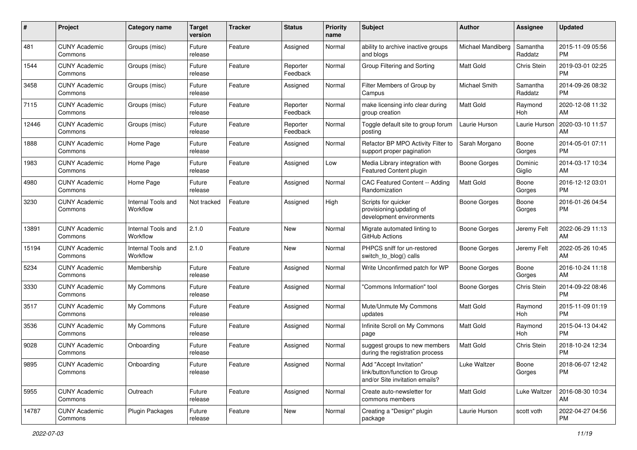| #     | Project                         | <b>Category name</b>           | <b>Target</b><br>version | <b>Tracker</b> | <b>Status</b>        | Priority<br>name | <b>Subject</b>                                                                             | Author              | <b>Assignee</b>     | <b>Updated</b>                |
|-------|---------------------------------|--------------------------------|--------------------------|----------------|----------------------|------------------|--------------------------------------------------------------------------------------------|---------------------|---------------------|-------------------------------|
| 481   | <b>CUNY Academic</b><br>Commons | Groups (misc)                  | Future<br>release        | Feature        | Assigned             | Normal           | ability to archive inactive groups<br>and blogs                                            | Michael Mandiberg   | Samantha<br>Raddatz | 2015-11-09 05:56<br>PM.       |
| 1544  | <b>CUNY Academic</b><br>Commons | Groups (misc)                  | Future<br>release        | Feature        | Reporter<br>Feedback | Normal           | Group Filtering and Sorting                                                                | <b>Matt Gold</b>    | Chris Stein         | 2019-03-01 02:25<br><b>PM</b> |
| 3458  | <b>CUNY Academic</b><br>Commons | Groups (misc)                  | Future<br>release        | Feature        | Assigned             | Normal           | Filter Members of Group by<br>Campus                                                       | Michael Smith       | Samantha<br>Raddatz | 2014-09-26 08:32<br><b>PM</b> |
| 7115  | <b>CUNY Academic</b><br>Commons | Groups (misc)                  | Future<br>release        | Feature        | Reporter<br>Feedback | Normal           | make licensing info clear during<br>group creation                                         | <b>Matt Gold</b>    | Raymond<br>Hoh      | 2020-12-08 11:32<br>AM        |
| 12446 | <b>CUNY Academic</b><br>Commons | Groups (misc)                  | Future<br>release        | Feature        | Reporter<br>Feedback | Normal           | Toggle default site to group forum<br>posting                                              | Laurie Hurson       | Laurie Hurson       | 2020-03-10 11:57<br>AM        |
| 1888  | <b>CUNY Academic</b><br>Commons | Home Page                      | Future<br>release        | Feature        | Assigned             | Normal           | Refactor BP MPO Activity Filter to<br>support proper pagination                            | Sarah Morgano       | Boone<br>Gorges     | 2014-05-01 07:11<br><b>PM</b> |
| 1983  | <b>CUNY Academic</b><br>Commons | Home Page                      | Future<br>release        | Feature        | Assigned             | Low              | Media Library integration with<br>Featured Content plugin                                  | <b>Boone Gorges</b> | Dominic<br>Giglio   | 2014-03-17 10:34<br>AM.       |
| 4980  | <b>CUNY Academic</b><br>Commons | Home Page                      | Future<br>release        | Feature        | Assigned             | Normal           | CAC Featured Content -- Adding<br>Randomization                                            | <b>Matt Gold</b>    | Boone<br>Gorges     | 2016-12-12 03:01<br>PM.       |
| 3230  | <b>CUNY Academic</b><br>Commons | Internal Tools and<br>Workflow | Not tracked              | Feature        | Assigned             | High             | Scripts for quicker<br>provisioning/updating of<br>development environments                | <b>Boone Gorges</b> | Boone<br>Gorges     | 2016-01-26 04:54<br><b>PM</b> |
| 13891 | <b>CUNY Academic</b><br>Commons | Internal Tools and<br>Workflow | 2.1.0                    | Feature        | New                  | Normal           | Migrate automated linting to<br>GitHub Actions                                             | Boone Gorges        | Jeremy Felt         | 2022-06-29 11:13<br>AM        |
| 15194 | <b>CUNY Academic</b><br>Commons | Internal Tools and<br>Workflow | 2.1.0                    | Feature        | New                  | Normal           | PHPCS sniff for un-restored<br>switch_to_blog() calls                                      | Boone Gorges        | Jeremy Felt         | 2022-05-26 10:45<br>AM.       |
| 5234  | <b>CUNY Academic</b><br>Commons | Membership                     | Future<br>release        | Feature        | Assigned             | Normal           | Write Unconfirmed patch for WP                                                             | Boone Gorges        | Boone<br>Gorges     | 2016-10-24 11:18<br>AM        |
| 3330  | <b>CUNY Academic</b><br>Commons | My Commons                     | Future<br>release        | Feature        | Assigned             | Normal           | 'Commons Information" tool                                                                 | Boone Gorges        | Chris Stein         | 2014-09-22 08:46<br><b>PM</b> |
| 3517  | <b>CUNY Academic</b><br>Commons | My Commons                     | Future<br>release        | Feature        | Assigned             | Normal           | Mute/Unmute My Commons<br>updates                                                          | <b>Matt Gold</b>    | Raymond<br>Hoh      | 2015-11-09 01:19<br><b>PM</b> |
| 3536  | <b>CUNY Academic</b><br>Commons | My Commons                     | Future<br>release        | Feature        | Assigned             | Normal           | Infinite Scroll on My Commons<br>page                                                      | <b>Matt Gold</b>    | Raymond<br>Hoh      | 2015-04-13 04:42<br><b>PM</b> |
| 9028  | <b>CUNY Academic</b><br>Commons | Onboarding                     | Future<br>release        | Feature        | Assigned             | Normal           | suggest groups to new members<br>during the registration process                           | <b>Matt Gold</b>    | Chris Stein         | 2018-10-24 12:34<br><b>PM</b> |
| 9895  | <b>CUNY Academic</b><br>Commons | Onboarding                     | Future<br>release        | Feature        | Assigned             | Normal           | Add "Accept Invitation"<br>link/button/function to Group<br>and/or Site invitation emails? | Luke Waltzer        | Boone<br>Gorges     | 2018-06-07 12:42<br><b>PM</b> |
| 5955  | <b>CUNY Academic</b><br>Commons | Outreach                       | Future<br>release        | Feature        | Assigned             | Normal           | Create auto-newsletter for<br>commons members                                              | Matt Gold           | Luke Waltzer        | 2016-08-30 10:34<br>AM        |
| 14787 | <b>CUNY Academic</b><br>Commons | <b>Plugin Packages</b>         | Future<br>release        | Feature        | New                  | Normal           | Creating a "Design" plugin<br>package                                                      | Laurie Hurson       | scott voth          | 2022-04-27 04:56<br><b>PM</b> |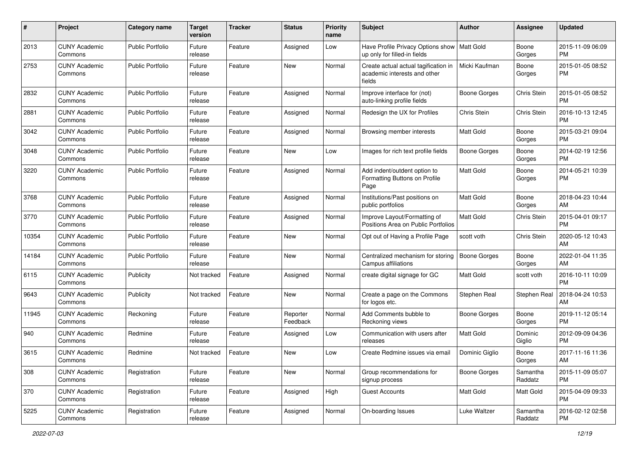| #     | Project                         | <b>Category name</b>    | <b>Target</b><br>version | <b>Tracker</b> | <b>Status</b>        | Priority<br>name | <b>Subject</b>                                                                 | Author              | <b>Assignee</b>     | <b>Updated</b>                |
|-------|---------------------------------|-------------------------|--------------------------|----------------|----------------------|------------------|--------------------------------------------------------------------------------|---------------------|---------------------|-------------------------------|
| 2013  | <b>CUNY Academic</b><br>Commons | <b>Public Portfolio</b> | Future<br>release        | Feature        | Assigned             | Low              | Have Profile Privacy Options show   Matt Gold<br>up only for filled-in fields  |                     | Boone<br>Gorges     | 2015-11-09 06:09<br><b>PM</b> |
| 2753  | <b>CUNY Academic</b><br>Commons | <b>Public Portfolio</b> | Future<br>release        | Feature        | New                  | Normal           | Create actual actual tagification in<br>academic interests and other<br>fields | Micki Kaufman       | Boone<br>Gorges     | 2015-01-05 08:52<br><b>PM</b> |
| 2832  | <b>CUNY Academic</b><br>Commons | <b>Public Portfolio</b> | Future<br>release        | Feature        | Assigned             | Normal           | Improve interface for (not)<br>auto-linking profile fields                     | <b>Boone Gorges</b> | Chris Stein         | 2015-01-05 08:52<br><b>PM</b> |
| 2881  | <b>CUNY Academic</b><br>Commons | Public Portfolio        | Future<br>release        | Feature        | Assigned             | Normal           | Redesign the UX for Profiles                                                   | Chris Stein         | Chris Stein         | 2016-10-13 12:45<br><b>PM</b> |
| 3042  | <b>CUNY Academic</b><br>Commons | Public Portfolio        | Future<br>release        | Feature        | Assigned             | Normal           | Browsing member interests                                                      | Matt Gold           | Boone<br>Gorges     | 2015-03-21 09:04<br><b>PM</b> |
| 3048  | <b>CUNY Academic</b><br>Commons | <b>Public Portfolio</b> | Future<br>release        | Feature        | New                  | Low              | Images for rich text profile fields                                            | Boone Gorges        | Boone<br>Gorges     | 2014-02-19 12:56<br><b>PM</b> |
| 3220  | <b>CUNY Academic</b><br>Commons | <b>Public Portfolio</b> | Future<br>release        | Feature        | Assigned             | Normal           | Add indent/outdent option to<br>Formatting Buttons on Profile<br>Page          | <b>Matt Gold</b>    | Boone<br>Gorges     | 2014-05-21 10:39<br><b>PM</b> |
| 3768  | <b>CUNY Academic</b><br>Commons | <b>Public Portfolio</b> | Future<br>release        | Feature        | Assigned             | Normal           | Institutions/Past positions on<br>public portfolios                            | Matt Gold           | Boone<br>Gorges     | 2018-04-23 10:44<br>AM        |
| 3770  | <b>CUNY Academic</b><br>Commons | Public Portfolio        | Future<br>release        | Feature        | Assigned             | Normal           | Improve Layout/Formatting of<br>Positions Area on Public Portfolios            | Matt Gold           | Chris Stein         | 2015-04-01 09:17<br><b>PM</b> |
| 10354 | <b>CUNY Academic</b><br>Commons | Public Portfolio        | Future<br>release        | Feature        | New                  | Normal           | Opt out of Having a Profile Page                                               | scott voth          | Chris Stein         | 2020-05-12 10:43<br>AM        |
| 14184 | <b>CUNY Academic</b><br>Commons | <b>Public Portfolio</b> | Future<br>release        | Feature        | New                  | Normal           | Centralized mechanism for storing<br>Campus affiliations                       | <b>Boone Gorges</b> | Boone<br>Gorges     | 2022-01-04 11:35<br>AM        |
| 6115  | <b>CUNY Academic</b><br>Commons | Publicity               | Not tracked              | Feature        | Assigned             | Normal           | create digital signage for GC                                                  | <b>Matt Gold</b>    | scott voth          | 2016-10-11 10:09<br><b>PM</b> |
| 9643  | <b>CUNY Academic</b><br>Commons | Publicity               | Not tracked              | Feature        | <b>New</b>           | Normal           | Create a page on the Commons<br>for logos etc.                                 | Stephen Real        | Stephen Real        | 2018-04-24 10:53<br>AM        |
| 11945 | <b>CUNY Academic</b><br>Commons | Reckoning               | Future<br>release        | Feature        | Reporter<br>Feedback | Normal           | Add Comments bubble to<br>Reckoning views                                      | <b>Boone Gorges</b> | Boone<br>Gorges     | 2019-11-12 05:14<br><b>PM</b> |
| 940   | <b>CUNY Academic</b><br>Commons | Redmine                 | Future<br>release        | Feature        | Assigned             | Low              | Communication with users after<br>releases                                     | <b>Matt Gold</b>    | Dominic<br>Giglio   | 2012-09-09 04:36<br><b>PM</b> |
| 3615  | <b>CUNY Academic</b><br>Commons | Redmine                 | Not tracked              | Feature        | New                  | Low              | Create Redmine issues via email                                                | Dominic Giglio      | Boone<br>Gorges     | 2017-11-16 11:36<br>AM        |
| 308   | <b>CUNY Academic</b><br>Commons | Registration            | Future<br>release        | Feature        | New                  | Normal           | Group recommendations for<br>signup process                                    | <b>Boone Gorges</b> | Samantha<br>Raddatz | 2015-11-09 05:07<br><b>PM</b> |
| 370   | <b>CUNY Academic</b><br>Commons | Registration            | Future<br>release        | Feature        | Assigned             | High             | <b>Guest Accounts</b>                                                          | Matt Gold           | Matt Gold           | 2015-04-09 09:33<br><b>PM</b> |
| 5225  | <b>CUNY Academic</b><br>Commons | Registration            | Future<br>release        | Feature        | Assigned             | Normal           | On-boarding Issues                                                             | Luke Waltzer        | Samantha<br>Raddatz | 2016-02-12 02:58<br><b>PM</b> |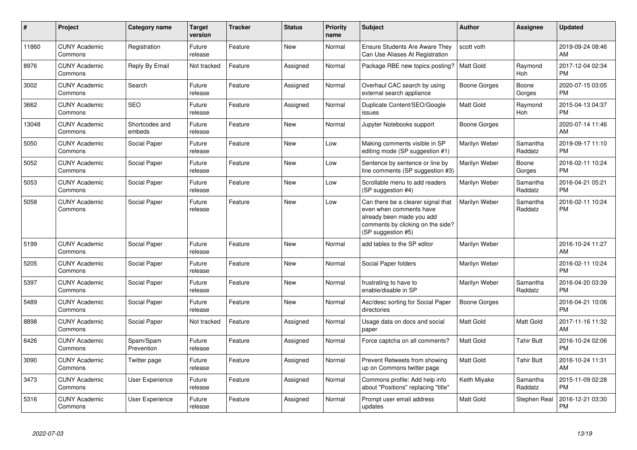| #     | Project                         | <b>Category name</b>     | <b>Target</b><br>version | <b>Tracker</b> | <b>Status</b> | <b>Priority</b><br>name | <b>Subject</b>                                                                                                                                        | <b>Author</b>    | <b>Assignee</b>     | <b>Updated</b>                |
|-------|---------------------------------|--------------------------|--------------------------|----------------|---------------|-------------------------|-------------------------------------------------------------------------------------------------------------------------------------------------------|------------------|---------------------|-------------------------------|
| 11860 | <b>CUNY Academic</b><br>Commons | Registration             | Future<br>release        | Feature        | <b>New</b>    | Normal                  | <b>Ensure Students Are Aware They</b><br>Can Use Aliases At Registration                                                                              | scott voth       |                     | 2019-09-24 08:46<br>AM        |
| 8976  | <b>CUNY Academic</b><br>Commons | Reply By Email           | Not tracked              | Feature        | Assigned      | Normal                  | Package RBE new topics posting?                                                                                                                       | <b>Matt Gold</b> | Raymond<br>Hoh      | 2017-12-04 02:34<br><b>PM</b> |
| 3002  | <b>CUNY Academic</b><br>Commons | Search                   | Future<br>release        | Feature        | Assigned      | Normal                  | Overhaul CAC search by using<br>external search appliance                                                                                             | Boone Gorges     | Boone<br>Gorges     | 2020-07-15 03:05<br><b>PM</b> |
| 3662  | <b>CUNY Academic</b><br>Commons | <b>SEO</b>               | Future<br>release        | Feature        | Assigned      | Normal                  | Duplicate Content/SEO/Google<br>issues                                                                                                                | Matt Gold        | Raymond<br>Hoh      | 2015-04-13 04:37<br><b>PM</b> |
| 13048 | <b>CUNY Academic</b><br>Commons | Shortcodes and<br>embeds | Future<br>release        | Feature        | <b>New</b>    | Normal                  | Jupyter Notebooks support                                                                                                                             | Boone Gorges     |                     | 2020-07-14 11:46<br>AM        |
| 5050  | <b>CUNY Academic</b><br>Commons | Social Paper             | Future<br>release        | Feature        | <b>New</b>    | Low                     | Making comments visible in SP<br>editing mode (SP suggestion #1)                                                                                      | Marilyn Weber    | Samantha<br>Raddatz | 2019-09-17 11:10<br><b>PM</b> |
| 5052  | <b>CUNY Academic</b><br>Commons | Social Paper             | Future<br>release        | Feature        | <b>New</b>    | Low                     | Sentence by sentence or line by<br>line comments (SP suggestion #3)                                                                                   | Marilyn Weber    | Boone<br>Gorges     | 2016-02-11 10:24<br><b>PM</b> |
| 5053  | <b>CUNY Academic</b><br>Commons | Social Paper             | Future<br>release        | Feature        | <b>New</b>    | Low                     | Scrollable menu to add readers<br>(SP suggestion #4)                                                                                                  | Marilyn Weber    | Samantha<br>Raddatz | 2016-04-21 05:21<br><b>PM</b> |
| 5058  | <b>CUNY Academic</b><br>Commons | Social Paper             | Future<br>release        | Feature        | <b>New</b>    | Low                     | Can there be a clearer signal that<br>even when comments have<br>already been made you add<br>comments by clicking on the side?<br>(SP suggestion #5) | Marilyn Weber    | Samantha<br>Raddatz | 2016-02-11 10:24<br><b>PM</b> |
| 5199  | <b>CUNY Academic</b><br>Commons | Social Paper             | Future<br>release        | Feature        | <b>New</b>    | Normal                  | add tables to the SP editor                                                                                                                           | Marilyn Weber    |                     | 2016-10-24 11:27<br>AM        |
| 5205  | <b>CUNY Academic</b><br>Commons | Social Paper             | Future<br>release        | Feature        | <b>New</b>    | Normal                  | Social Paper folders                                                                                                                                  | Marilyn Weber    |                     | 2016-02-11 10:24<br><b>PM</b> |
| 5397  | <b>CUNY Academic</b><br>Commons | Social Paper             | Future<br>release        | Feature        | <b>New</b>    | Normal                  | frustrating to have to<br>enable/disable in SP                                                                                                        | Marilyn Weber    | Samantha<br>Raddatz | 2016-04-20 03:39<br><b>PM</b> |
| 5489  | <b>CUNY Academic</b><br>Commons | Social Paper             | Future<br>release        | Feature        | <b>New</b>    | Normal                  | Asc/desc sorting for Social Paper<br>directories                                                                                                      | Boone Gorges     |                     | 2016-04-21 10:06<br><b>PM</b> |
| 8898  | <b>CUNY Academic</b><br>Commons | Social Paper             | Not tracked              | Feature        | Assigned      | Normal                  | Usage data on docs and social<br>paper                                                                                                                | Matt Gold        | Matt Gold           | 2017-11-16 11:32<br>AM        |
| 6426  | <b>CUNY Academic</b><br>Commons | Spam/Spam<br>Prevention  | Future<br>release        | Feature        | Assigned      | Normal                  | Force captcha on all comments?                                                                                                                        | <b>Matt Gold</b> | Tahir Butt          | 2016-10-24 02:06<br><b>PM</b> |
| 3090  | <b>CUNY Academic</b><br>Commons | Twitter page             | Future<br>release        | Feature        | Assigned      | Normal                  | Prevent Retweets from showing<br>up on Commons twitter page                                                                                           | <b>Matt Gold</b> | <b>Tahir Butt</b>   | 2016-10-24 11:31<br>AM        |
| 3473  | <b>CUNY Academic</b><br>Commons | <b>User Experience</b>   | Future<br>release        | Feature        | Assigned      | Normal                  | Commons profile: Add help info<br>about "Positions" replacing "title"                                                                                 | Keith Miyake     | Samantha<br>Raddatz | 2015-11-09 02:28<br><b>PM</b> |
| 5316  | <b>CUNY Academic</b><br>Commons | <b>User Experience</b>   | Future<br>release        | Feature        | Assigned      | Normal                  | Prompt user email address<br>updates                                                                                                                  | Matt Gold        | Stephen Real        | 2016-12-21 03:30<br>PM        |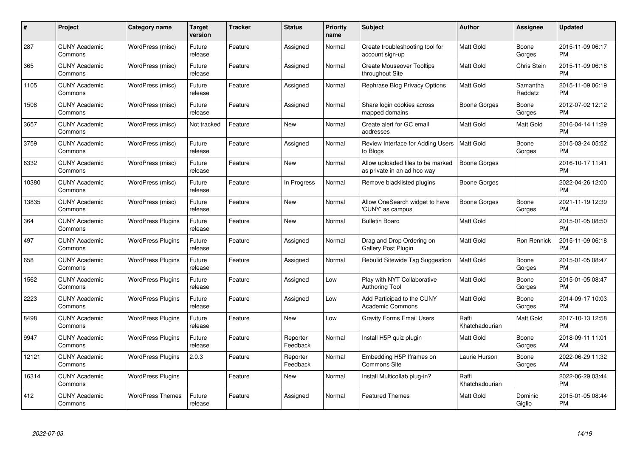| $\#$  | Project                         | <b>Category name</b>     | <b>Target</b><br>version | <b>Tracker</b> | <b>Status</b>        | Priority<br>name | <b>Subject</b>                                                   | <b>Author</b>           | <b>Assignee</b>     | <b>Updated</b>                |
|-------|---------------------------------|--------------------------|--------------------------|----------------|----------------------|------------------|------------------------------------------------------------------|-------------------------|---------------------|-------------------------------|
| 287   | <b>CUNY Academic</b><br>Commons | WordPress (misc)         | Future<br>release        | Feature        | Assigned             | Normal           | Create troubleshooting tool for<br>account sign-up               | <b>Matt Gold</b>        | Boone<br>Gorges     | 2015-11-09 06:17<br><b>PM</b> |
| 365   | <b>CUNY Academic</b><br>Commons | WordPress (misc)         | Future<br>release        | Feature        | Assigned             | Normal           | <b>Create Mouseover Tooltips</b><br>throughout Site              | Matt Gold               | <b>Chris Stein</b>  | 2015-11-09 06:18<br><b>PM</b> |
| 1105  | <b>CUNY Academic</b><br>Commons | WordPress (misc)         | Future<br>release        | Feature        | Assigned             | Normal           | Rephrase Blog Privacy Options                                    | <b>Matt Gold</b>        | Samantha<br>Raddatz | 2015-11-09 06:19<br><b>PM</b> |
| 1508  | <b>CUNY Academic</b><br>Commons | WordPress (misc)         | Future<br>release        | Feature        | Assigned             | Normal           | Share login cookies across<br>mapped domains                     | Boone Gorges            | Boone<br>Gorges     | 2012-07-02 12:12<br><b>PM</b> |
| 3657  | <b>CUNY Academic</b><br>Commons | WordPress (misc)         | Not tracked              | Feature        | <b>New</b>           | Normal           | Create alert for GC email<br>addresses                           | Matt Gold               | Matt Gold           | 2016-04-14 11:29<br><b>PM</b> |
| 3759  | <b>CUNY Academic</b><br>Commons | WordPress (misc)         | Future<br>release        | Feature        | Assigned             | Normal           | Review Interface for Adding Users<br>to Blogs                    | <b>Matt Gold</b>        | Boone<br>Gorges     | 2015-03-24 05:52<br><b>PM</b> |
| 6332  | <b>CUNY Academic</b><br>Commons | WordPress (misc)         | Future<br>release        | Feature        | <b>New</b>           | Normal           | Allow uploaded files to be marked<br>as private in an ad hoc way | <b>Boone Gorges</b>     |                     | 2016-10-17 11:41<br><b>PM</b> |
| 10380 | <b>CUNY Academic</b><br>Commons | WordPress (misc)         | Future<br>release        | Feature        | In Progress          | Normal           | Remove blacklisted plugins                                       | Boone Gorges            |                     | 2022-04-26 12:00<br><b>PM</b> |
| 13835 | <b>CUNY Academic</b><br>Commons | WordPress (misc)         | Future<br>release        | Feature        | New                  | Normal           | Allow OneSearch widget to have<br>'CUNY' as campus               | Boone Gorges            | Boone<br>Gorges     | 2021-11-19 12:39<br><b>PM</b> |
| 364   | <b>CUNY Academic</b><br>Commons | <b>WordPress Plugins</b> | Future<br>release        | Feature        | <b>New</b>           | Normal           | <b>Bulletin Board</b>                                            | Matt Gold               |                     | 2015-01-05 08:50<br><b>PM</b> |
| 497   | <b>CUNY Academic</b><br>Commons | <b>WordPress Plugins</b> | Future<br>release        | Feature        | Assigned             | Normal           | Drag and Drop Ordering on<br>Gallery Post Plugin                 | Matt Gold               | Ron Rennick         | 2015-11-09 06:18<br><b>PM</b> |
| 658   | <b>CUNY Academic</b><br>Commons | <b>WordPress Plugins</b> | Future<br>release        | Feature        | Assigned             | Normal           | Rebulid Sitewide Tag Suggestion                                  | <b>Matt Gold</b>        | Boone<br>Gorges     | 2015-01-05 08:47<br><b>PM</b> |
| 1562  | <b>CUNY Academic</b><br>Commons | <b>WordPress Plugins</b> | Future<br>release        | Feature        | Assigned             | Low              | Play with NYT Collaborative<br>Authoring Tool                    | Matt Gold               | Boone<br>Gorges     | 2015-01-05 08:47<br><b>PM</b> |
| 2223  | <b>CUNY Academic</b><br>Commons | <b>WordPress Plugins</b> | Future<br>release        | Feature        | Assigned             | Low              | Add Participad to the CUNY<br><b>Academic Commons</b>            | Matt Gold               | Boone<br>Gorges     | 2014-09-17 10:03<br><b>PM</b> |
| 8498  | <b>CUNY Academic</b><br>Commons | <b>WordPress Plugins</b> | Future<br>release        | Feature        | New                  | Low              | <b>Gravity Forms Email Users</b>                                 | Raffi<br>Khatchadourian | Matt Gold           | 2017-10-13 12:58<br><b>PM</b> |
| 9947  | <b>CUNY Academic</b><br>Commons | <b>WordPress Plugins</b> | Future<br>release        | Feature        | Reporter<br>Feedback | Normal           | Install H5P quiz plugin                                          | Matt Gold               | Boone<br>Gorges     | 2018-09-11 11:01<br>AM        |
| 12121 | <b>CUNY Academic</b><br>Commons | <b>WordPress Plugins</b> | 2.0.3                    | Feature        | Reporter<br>Feedback | Normal           | Embedding H5P Iframes on<br><b>Commons Site</b>                  | Laurie Hurson           | Boone<br>Gorges     | 2022-06-29 11:32<br>AM        |
| 16314 | <b>CUNY Academic</b><br>Commons | <b>WordPress Plugins</b> |                          | Feature        | New                  | Normal           | Install Multicollab plug-in?                                     | Raffi<br>Khatchadourian |                     | 2022-06-29 03:44<br><b>PM</b> |
| 412   | <b>CUNY Academic</b><br>Commons | <b>WordPress Themes</b>  | Future<br>release        | Feature        | Assigned             | Normal           | <b>Featured Themes</b>                                           | <b>Matt Gold</b>        | Dominic<br>Giglio   | 2015-01-05 08:44<br><b>PM</b> |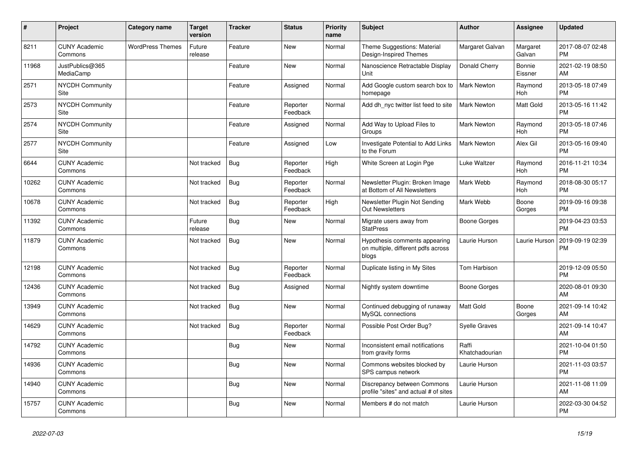| #     | Project                         | Category name           | <b>Target</b><br>version | <b>Tracker</b> | <b>Status</b>        | <b>Priority</b><br>name | <b>Subject</b>                                                               | <b>Author</b>           | Assignee           | <b>Updated</b>                |
|-------|---------------------------------|-------------------------|--------------------------|----------------|----------------------|-------------------------|------------------------------------------------------------------------------|-------------------------|--------------------|-------------------------------|
| 8211  | <b>CUNY Academic</b><br>Commons | <b>WordPress Themes</b> | Future<br>release        | Feature        | <b>New</b>           | Normal                  | Theme Suggestions: Material<br>Design-Inspired Themes                        | Margaret Galvan         | Margaret<br>Galvan | 2017-08-07 02:48<br><b>PM</b> |
| 11968 | JustPublics@365<br>MediaCamp    |                         |                          | Feature        | <b>New</b>           | Normal                  | Nanoscience Retractable Display<br>Unit                                      | Donald Cherry           | Bonnie<br>Eissner  | 2021-02-19 08:50<br>AM        |
| 2571  | <b>NYCDH Community</b><br>Site  |                         |                          | Feature        | Assigned             | Normal                  | Add Google custom search box to<br>homepage                                  | <b>Mark Newton</b>      | Raymond<br>Hoh     | 2013-05-18 07:49<br><b>PM</b> |
| 2573  | <b>NYCDH Community</b><br>Site  |                         |                          | Feature        | Reporter<br>Feedback | Normal                  | Add dh_nyc twitter list feed to site                                         | <b>Mark Newton</b>      | Matt Gold          | 2013-05-16 11:42<br><b>PM</b> |
| 2574  | <b>NYCDH Community</b><br>Site  |                         |                          | Feature        | Assigned             | Normal                  | Add Way to Upload Files to<br>Groups                                         | <b>Mark Newton</b>      | Raymond<br>Hoh     | 2013-05-18 07:46<br><b>PM</b> |
| 2577  | NYCDH Community<br>Site         |                         |                          | Feature        | Assigned             | Low                     | Investigate Potential to Add Links<br>to the Forum                           | <b>Mark Newton</b>      | Alex Gil           | 2013-05-16 09:40<br><b>PM</b> |
| 6644  | <b>CUNY Academic</b><br>Commons |                         | Not tracked              | Bug            | Reporter<br>Feedback | High                    | White Screen at Login Pge                                                    | Luke Waltzer            | Raymond<br>Hoh     | 2016-11-21 10:34<br><b>PM</b> |
| 10262 | <b>CUNY Academic</b><br>Commons |                         | Not tracked              | <b>Bug</b>     | Reporter<br>Feedback | Normal                  | Newsletter Plugin: Broken Image<br>at Bottom of All Newsletters              | Mark Webb               | Raymond<br>Hoh     | 2018-08-30 05:17<br><b>PM</b> |
| 10678 | <b>CUNY Academic</b><br>Commons |                         | Not tracked              | Bug            | Reporter<br>Feedback | High                    | Newsletter Plugin Not Sending<br><b>Out Newsletters</b>                      | Mark Webb               | Boone<br>Gorges    | 2019-09-16 09:38<br><b>PM</b> |
| 11392 | <b>CUNY Academic</b><br>Commons |                         | Future<br>release        | <b>Bug</b>     | <b>New</b>           | Normal                  | Migrate users away from<br><b>StatPress</b>                                  | Boone Gorges            |                    | 2019-04-23 03:53<br><b>PM</b> |
| 11879 | <b>CUNY Academic</b><br>Commons |                         | Not tracked              | Bug            | <b>New</b>           | Normal                  | Hypothesis comments appearing<br>on multiple, different pdfs across<br>blogs | Laurie Hurson           | Laurie Hurson      | 2019-09-19 02:39<br><b>PM</b> |
| 12198 | <b>CUNY Academic</b><br>Commons |                         | Not tracked              | Bug            | Reporter<br>Feedback | Normal                  | Duplicate listing in My Sites                                                | <b>Tom Harbison</b>     |                    | 2019-12-09 05:50<br><b>PM</b> |
| 12436 | <b>CUNY Academic</b><br>Commons |                         | Not tracked              | <b>Bug</b>     | Assigned             | Normal                  | Nightly system downtime                                                      | Boone Gorges            |                    | 2020-08-01 09:30<br>AM        |
| 13949 | <b>CUNY Academic</b><br>Commons |                         | Not tracked              | Bug            | <b>New</b>           | Normal                  | Continued debugging of runaway<br>MySQL connections                          | <b>Matt Gold</b>        | Boone<br>Gorges    | 2021-09-14 10:42<br>AM        |
| 14629 | <b>CUNY Academic</b><br>Commons |                         | Not tracked              | Bug            | Reporter<br>Feedback | Normal                  | Possible Post Order Bug?                                                     | <b>Syelle Graves</b>    |                    | 2021-09-14 10:47<br>AM        |
| 14792 | <b>CUNY Academic</b><br>Commons |                         |                          | <b>Bug</b>     | <b>New</b>           | Normal                  | Inconsistent email notifications<br>from gravity forms                       | Raffi<br>Khatchadourian |                    | 2021-10-04 01:50<br><b>PM</b> |
| 14936 | <b>CUNY Academic</b><br>Commons |                         |                          | Bug            | <b>New</b>           | Normal                  | Commons websites blocked by<br>SPS campus network                            | Laurie Hurson           |                    | 2021-11-03 03:57<br><b>PM</b> |
| 14940 | <b>CUNY Academic</b><br>Commons |                         |                          | <b>Bug</b>     | New                  | Normal                  | Discrepancy between Commons<br>profile "sites" and actual # of sites         | Laurie Hurson           |                    | 2021-11-08 11:09<br>AM        |
| 15757 | <b>CUNY Academic</b><br>Commons |                         |                          | <b>Bug</b>     | <b>New</b>           | Normal                  | Members # do not match                                                       | Laurie Hurson           |                    | 2022-03-30 04:52<br><b>PM</b> |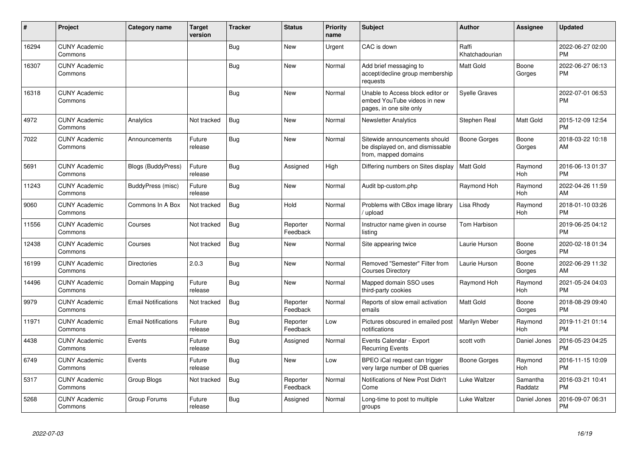| #     | Project                         | <b>Category name</b>       | <b>Target</b><br>version | <b>Tracker</b> | <b>Status</b>        | <b>Priority</b><br>name | <b>Subject</b>                                                                             | <b>Author</b>           | <b>Assignee</b>     | <b>Updated</b>                |
|-------|---------------------------------|----------------------------|--------------------------|----------------|----------------------|-------------------------|--------------------------------------------------------------------------------------------|-------------------------|---------------------|-------------------------------|
| 16294 | <b>CUNY Academic</b><br>Commons |                            |                          | Bug            | <b>New</b>           | Urgent                  | CAC is down                                                                                | Raffi<br>Khatchadourian |                     | 2022-06-27 02:00<br><b>PM</b> |
| 16307 | <b>CUNY Academic</b><br>Commons |                            |                          | Bug            | <b>New</b>           | Normal                  | Add brief messaging to<br>accept/decline group membership<br>requests                      | <b>Matt Gold</b>        | Boone<br>Gorges     | 2022-06-27 06:13<br><b>PM</b> |
| 16318 | <b>CUNY Academic</b><br>Commons |                            |                          | <b>Bug</b>     | <b>New</b>           | Normal                  | Unable to Access block editor or<br>embed YouTube videos in new<br>pages, in one site only | <b>Syelle Graves</b>    |                     | 2022-07-01 06:53<br><b>PM</b> |
| 4972  | <b>CUNY Academic</b><br>Commons | Analytics                  | Not tracked              | Bug            | <b>New</b>           | Normal                  | <b>Newsletter Analytics</b>                                                                | Stephen Real            | Matt Gold           | 2015-12-09 12:54<br><b>PM</b> |
| 7022  | <b>CUNY Academic</b><br>Commons | Announcements              | Future<br>release        | Bug            | <b>New</b>           | Normal                  | Sitewide announcements should<br>be displayed on, and dismissable<br>from, mapped domains  | <b>Boone Gorges</b>     | Boone<br>Gorges     | 2018-03-22 10:18<br>AM        |
| 5691  | <b>CUNY Academic</b><br>Commons | <b>Blogs (BuddyPress)</b>  | Future<br>release        | Bug            | Assigned             | High                    | Differing numbers on Sites display                                                         | Matt Gold               | Raymond<br>Hoh      | 2016-06-13 01:37<br><b>PM</b> |
| 11243 | <b>CUNY Academic</b><br>Commons | BuddyPress (misc)          | Future<br>release        | <b>Bug</b>     | <b>New</b>           | Normal                  | Audit bp-custom.php                                                                        | Raymond Hoh             | Raymond<br>Hoh      | 2022-04-26 11:59<br>AM        |
| 9060  | <b>CUNY Academic</b><br>Commons | Commons In A Box           | Not tracked              | Bug            | Hold                 | Normal                  | Problems with CBox image library<br>/upload                                                | Lisa Rhody              | Raymond<br>Hoh      | 2018-01-10 03:26<br><b>PM</b> |
| 11556 | <b>CUNY Academic</b><br>Commons | Courses                    | Not tracked              | <b>Bug</b>     | Reporter<br>Feedback | Normal                  | Instructor name given in course<br>listina                                                 | Tom Harbison            |                     | 2019-06-25 04:12<br><b>PM</b> |
| 12438 | <b>CUNY Academic</b><br>Commons | Courses                    | Not tracked              | Bug            | <b>New</b>           | Normal                  | Site appearing twice                                                                       | Laurie Hurson           | Boone<br>Gorges     | 2020-02-18 01:34<br><b>PM</b> |
| 16199 | <b>CUNY Academic</b><br>Commons | <b>Directories</b>         | 2.0.3                    | <b>Bug</b>     | <b>New</b>           | Normal                  | Removed "Semester" Filter from<br><b>Courses Directory</b>                                 | Laurie Hurson           | Boone<br>Gorges     | 2022-06-29 11:32<br>AM        |
| 14496 | <b>CUNY Academic</b><br>Commons | Domain Mapping             | Future<br>release        | Bug            | <b>New</b>           | Normal                  | Mapped domain SSO uses<br>third-party cookies                                              | Raymond Hoh             | Raymond<br>Hoh      | 2021-05-24 04:03<br><b>PM</b> |
| 9979  | <b>CUNY Academic</b><br>Commons | <b>Email Notifications</b> | Not tracked              | Bug            | Reporter<br>Feedback | Normal                  | Reports of slow email activation<br>emails                                                 | <b>Matt Gold</b>        | Boone<br>Gorges     | 2018-08-29 09:40<br><b>PM</b> |
| 11971 | <b>CUNY Academic</b><br>Commons | <b>Email Notifications</b> | Future<br>release        | Bug            | Reporter<br>Feedback | Low                     | Pictures obscured in emailed post<br>notifications                                         | Marilyn Weber           | Raymond<br>Hoh      | 2019-11-21 01:14<br><b>PM</b> |
| 4438  | <b>CUNY Academic</b><br>Commons | Events                     | Future<br>release        | Bug            | Assigned             | Normal                  | Events Calendar - Export<br><b>Recurring Events</b>                                        | scott voth              | Daniel Jones        | 2016-05-23 04:25<br><b>PM</b> |
| 6749  | <b>CUNY Academic</b><br>Commons | Events                     | Future<br>release        | Bug            | <b>New</b>           | Low                     | BPEO iCal request can trigger<br>very large number of DB queries                           | <b>Boone Gorges</b>     | Raymond<br>Hoh      | 2016-11-15 10:09<br><b>PM</b> |
| 5317  | <b>CUNY Academic</b><br>Commons | Group Blogs                | Not tracked              | Bug            | Reporter<br>Feedback | Normal                  | Notifications of New Post Didn't<br>Come                                                   | Luke Waltzer            | Samantha<br>Raddatz | 2016-03-21 10:41<br><b>PM</b> |
| 5268  | <b>CUNY Academic</b><br>Commons | Group Forums               | Future<br>release        | <b>Bug</b>     | Assigned             | Normal                  | Long-time to post to multiple<br>groups                                                    | Luke Waltzer            | Daniel Jones        | 2016-09-07 06:31<br><b>PM</b> |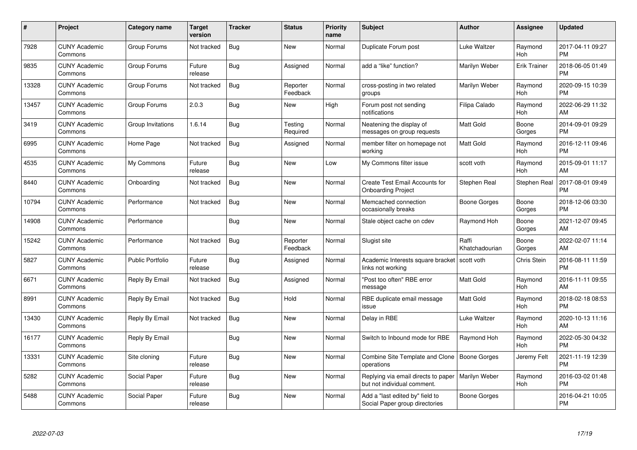| $\#$  | Project                         | <b>Category name</b>    | <b>Target</b><br>version | <b>Tracker</b> | <b>Status</b>        | Priority<br>name | <b>Subject</b>                                                     | <b>Author</b>           | <b>Assignee</b>     | <b>Updated</b>                |
|-------|---------------------------------|-------------------------|--------------------------|----------------|----------------------|------------------|--------------------------------------------------------------------|-------------------------|---------------------|-------------------------------|
| 7928  | <b>CUNY Academic</b><br>Commons | Group Forums            | Not tracked              | <b>Bug</b>     | <b>New</b>           | Normal           | Duplicate Forum post                                               | Luke Waltzer            | Raymond<br>Hoh      | 2017-04-11 09:27<br><b>PM</b> |
| 9835  | <b>CUNY Academic</b><br>Commons | Group Forums            | Future<br>release        | Bug            | Assigned             | Normal           | add a "like" function?                                             | Marilyn Weber           | <b>Erik Trainer</b> | 2018-06-05 01:49<br><b>PM</b> |
| 13328 | <b>CUNY Academic</b><br>Commons | Group Forums            | Not tracked              | Bug            | Reporter<br>Feedback | Normal           | cross-posting in two related<br>groups                             | Marilyn Weber           | Raymond<br>Hoh      | 2020-09-15 10:39<br><b>PM</b> |
| 13457 | <b>CUNY Academic</b><br>Commons | Group Forums            | 2.0.3                    | Bug            | <b>New</b>           | High             | Forum post not sending<br>notifications                            | Filipa Calado           | Raymond<br>Hoh      | 2022-06-29 11:32<br>AM        |
| 3419  | <b>CUNY Academic</b><br>Commons | Group Invitations       | 1.6.14                   | <b>Bug</b>     | Testing<br>Required  | Normal           | Neatening the display of<br>messages on group requests             | Matt Gold               | Boone<br>Gorges     | 2014-09-01 09:29<br><b>PM</b> |
| 6995  | <b>CUNY Academic</b><br>Commons | Home Page               | Not tracked              | <b>Bug</b>     | Assigned             | Normal           | member filter on homepage not<br>workina                           | <b>Matt Gold</b>        | Raymond<br>Hoh      | 2016-12-11 09:46<br><b>PM</b> |
| 4535  | <b>CUNY Academic</b><br>Commons | My Commons              | Future<br>release        | Bug            | New                  | Low              | My Commons filter issue                                            | scott voth              | Raymond<br>Hoh      | 2015-09-01 11:17<br>AM        |
| 8440  | <b>CUNY Academic</b><br>Commons | Onboarding              | Not tracked              | Bug            | New                  | Normal           | Create Test Email Accounts for<br><b>Onboarding Project</b>        | Stephen Real            | Stephen Real        | 2017-08-01 09:49<br><b>PM</b> |
| 10794 | <b>CUNY Academic</b><br>Commons | Performance             | Not tracked              | Bug            | <b>New</b>           | Normal           | Memcached connection<br>occasionally breaks                        | Boone Gorges            | Boone<br>Gorges     | 2018-12-06 03:30<br><b>PM</b> |
| 14908 | <b>CUNY Academic</b><br>Commons | Performance             |                          | Bug            | <b>New</b>           | Normal           | Stale object cache on cdev                                         | Raymond Hoh             | Boone<br>Gorges     | 2021-12-07 09:45<br>AM        |
| 15242 | <b>CUNY Academic</b><br>Commons | Performance             | Not tracked              | Bug            | Reporter<br>Feedback | Normal           | Slugist site                                                       | Raffi<br>Khatchadourian | Boone<br>Gorges     | 2022-02-07 11:14<br>AM        |
| 5827  | <b>CUNY Academic</b><br>Commons | <b>Public Portfolio</b> | Future<br>release        | Bug            | Assigned             | Normal           | Academic Interests square bracket<br>links not working             | scott voth              | <b>Chris Stein</b>  | 2016-08-11 11:59<br><b>PM</b> |
| 6671  | <b>CUNY Academic</b><br>Commons | Reply By Email          | Not tracked              | Bug            | Assigned             | Normal           | "Post too often" RBE error<br>message                              | <b>Matt Gold</b>        | Raymond<br>Hoh      | 2016-11-11 09:55<br>AM        |
| 8991  | <b>CUNY Academic</b><br>Commons | Reply By Email          | Not tracked              | Bug            | Hold                 | Normal           | RBE duplicate email message<br>issue                               | Matt Gold               | Raymond<br>Hoh      | 2018-02-18 08:53<br><b>PM</b> |
| 13430 | <b>CUNY Academic</b><br>Commons | Reply By Email          | Not tracked              | Bug            | New                  | Normal           | Delay in RBE                                                       | Luke Waltzer            | Raymond<br>Hoh      | 2020-10-13 11:16<br>AM        |
| 16177 | <b>CUNY Academic</b><br>Commons | Reply By Email          |                          | Bug            | New                  | Normal           | Switch to Inbound mode for RBE                                     | Raymond Hoh             | Raymond<br>Hoh      | 2022-05-30 04:32<br><b>PM</b> |
| 13331 | <b>CUNY Academic</b><br>Commons | Site cloning            | Future<br>release        | Bug            | New                  | Normal           | Combine Site Template and Clone<br>operations                      | Boone Gorges            | Jeremy Felt         | 2021-11-19 12:39<br><b>PM</b> |
| 5282  | <b>CUNY Academic</b><br>Commons | Social Paper            | Future<br>release        | Bug            | New                  | Normal           | Replying via email directs to paper<br>but not individual comment. | Marilyn Weber           | Raymond<br>Hoh      | 2016-03-02 01:48<br><b>PM</b> |
| 5488  | <b>CUNY Academic</b><br>Commons | Social Paper            | Future<br>release        | Bug            | <b>New</b>           | Normal           | Add a "last edited by" field to<br>Social Paper group directories  | Boone Gorges            |                     | 2016-04-21 10:05<br><b>PM</b> |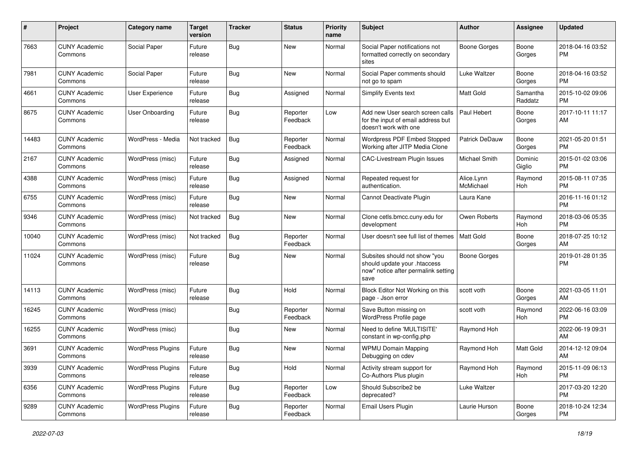| #     | Project                         | <b>Category name</b>     | <b>Target</b><br>version | <b>Tracker</b> | <b>Status</b>        | Priority<br>name | <b>Subject</b>                                                                                               | Author                  | <b>Assignee</b>     | <b>Updated</b>                |
|-------|---------------------------------|--------------------------|--------------------------|----------------|----------------------|------------------|--------------------------------------------------------------------------------------------------------------|-------------------------|---------------------|-------------------------------|
| 7663  | <b>CUNY Academic</b><br>Commons | Social Paper             | Future<br>release        | <b>Bug</b>     | <b>New</b>           | Normal           | Social Paper notifications not<br>formatted correctly on secondary<br>sites                                  | <b>Boone Gorges</b>     | Boone<br>Gorges     | 2018-04-16 03:52<br><b>PM</b> |
| 7981  | <b>CUNY Academic</b><br>Commons | Social Paper             | Future<br>release        | <b>Bug</b>     | <b>New</b>           | Normal           | Social Paper comments should<br>not go to spam                                                               | Luke Waltzer            | Boone<br>Gorges     | 2018-04-16 03:52<br><b>PM</b> |
| 4661  | <b>CUNY Academic</b><br>Commons | User Experience          | Future<br>release        | Bug            | Assigned             | Normal           | Simplify Events text                                                                                         | <b>Matt Gold</b>        | Samantha<br>Raddatz | 2015-10-02 09:06<br><b>PM</b> |
| 8675  | <b>CUNY Academic</b><br>Commons | User Onboarding          | Future<br>release        | Bug            | Reporter<br>Feedback | Low              | Add new User search screen calls<br>for the input of email address but<br>doesn't work with one              | Paul Hebert             | Boone<br>Gorges     | 2017-10-11 11:17<br>AM        |
| 14483 | <b>CUNY Academic</b><br>Commons | WordPress - Media        | Not tracked              | Bug            | Reporter<br>Feedback | Normal           | Wordpress PDF Embed Stopped<br>Working after JITP Media Clone                                                | Patrick DeDauw          | Boone<br>Gorges     | 2021-05-20 01:51<br><b>PM</b> |
| 2167  | <b>CUNY Academic</b><br>Commons | WordPress (misc)         | Future<br>release        | Bug            | Assigned             | Normal           | CAC-Livestream Plugin Issues                                                                                 | Michael Smith           | Dominic<br>Giglio   | 2015-01-02 03:06<br><b>PM</b> |
| 4388  | <b>CUNY Academic</b><br>Commons | WordPress (misc)         | Future<br>release        | <b>Bug</b>     | Assigned             | Normal           | Repeated request for<br>authentication.                                                                      | Alice.Lynn<br>McMichael | Raymond<br>Hoh      | 2015-08-11 07:35<br><b>PM</b> |
| 6755  | <b>CUNY Academic</b><br>Commons | WordPress (misc)         | Future<br>release        | Bug            | New                  | Normal           | Cannot Deactivate Plugin                                                                                     | Laura Kane              |                     | 2016-11-16 01:12<br><b>PM</b> |
| 9346  | <b>CUNY Academic</b><br>Commons | WordPress (misc)         | Not tracked              | Bug            | <b>New</b>           | Normal           | Clone cetls.bmcc.cuny.edu for<br>development                                                                 | Owen Roberts            | Raymond<br>Hoh      | 2018-03-06 05:35<br><b>PM</b> |
| 10040 | <b>CUNY Academic</b><br>Commons | WordPress (misc)         | Not tracked              | Bug            | Reporter<br>Feedback | Normal           | User doesn't see full list of themes                                                                         | <b>Matt Gold</b>        | Boone<br>Gorges     | 2018-07-25 10:12<br>AM        |
| 11024 | <b>CUNY Academic</b><br>Commons | WordPress (misc)         | Future<br>release        | Bug            | New                  | Normal           | Subsites should not show "you<br>should update your .htaccess<br>now" notice after permalink setting<br>save | <b>Boone Gorges</b>     |                     | 2019-01-28 01:35<br><b>PM</b> |
| 14113 | <b>CUNY Academic</b><br>Commons | WordPress (misc)         | Future<br>release        | Bug            | Hold                 | Normal           | Block Editor Not Working on this<br>page - Json error                                                        | scott voth              | Boone<br>Gorges     | 2021-03-05 11:01<br>AM        |
| 16245 | <b>CUNY Academic</b><br>Commons | WordPress (misc)         |                          | <b>Bug</b>     | Reporter<br>Feedback | Normal           | Save Button missing on<br>WordPress Profile page                                                             | scott voth              | Raymond<br>Hoh      | 2022-06-16 03:09<br><b>PM</b> |
| 16255 | <b>CUNY Academic</b><br>Commons | WordPress (misc)         |                          | <b>Bug</b>     | New                  | Normal           | Need to define 'MULTISITE'<br>constant in wp-config.php                                                      | Raymond Hoh             |                     | 2022-06-19 09:31<br>AM        |
| 3691  | <b>CUNY Academic</b><br>Commons | <b>WordPress Plugins</b> | Future<br>release        | Bug            | New                  | Normal           | <b>WPMU Domain Mapping</b><br>Debugging on cdev                                                              | Raymond Hoh             | Matt Gold           | 2014-12-12 09:04<br>AM        |
| 3939  | <b>CUNY Academic</b><br>Commons | <b>WordPress Plugins</b> | Future<br>release        | Bug            | Hold                 | Normal           | Activity stream support for<br>Co-Authors Plus plugin                                                        | Raymond Hoh             | Raymond<br>Hoh      | 2015-11-09 06:13<br><b>PM</b> |
| 6356  | <b>CUNY Academic</b><br>Commons | <b>WordPress Plugins</b> | Future<br>release        | <b>Bug</b>     | Reporter<br>Feedback | Low              | Should Subscribe2 be<br>deprecated?                                                                          | Luke Waltzer            |                     | 2017-03-20 12:20<br><b>PM</b> |
| 9289  | <b>CUNY Academic</b><br>Commons | <b>WordPress Plugins</b> | Future<br>release        | <b>Bug</b>     | Reporter<br>Feedback | Normal           | Email Users Plugin                                                                                           | Laurie Hurson           | Boone<br>Gorges     | 2018-10-24 12:34<br><b>PM</b> |